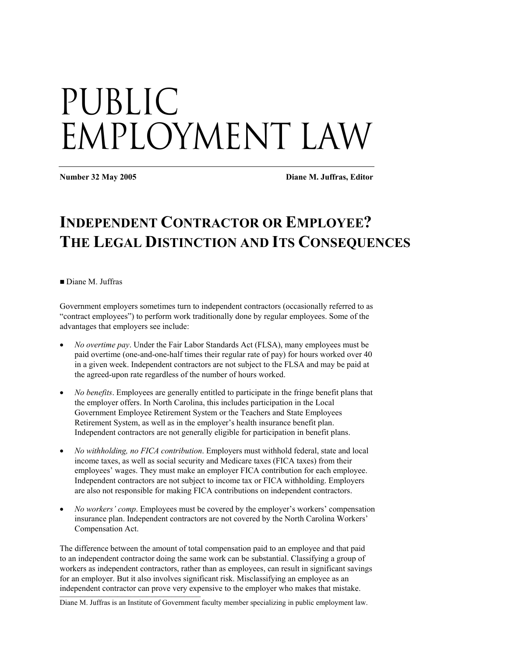# Public Employment Law

**Number 32 May 2005 Diane M. Juffras, Editor** 

## **INDEPENDENT CONTRACTOR OR EMPLOYEE? THE LEGAL DISTINCTION AND ITS CONSEQUENCES**

Diane M. Juffras

Government employers sometimes turn to independent contractors (occasionally referred to as "contract employees") to perform work traditionally done by regular employees. Some of the advantages that employers see include:

- *No overtime pay*. Under the Fair Labor Standards Act (FLSA), many employees must be paid overtime (one-and-one-half times their regular rate of pay) for hours worked over 40 in a given week. Independent contractors are not subject to the FLSA and may be paid at the agreed-upon rate regardless of the number of hours worked.
- *No benefits*. Employees are generally entitled to participate in the fringe benefit plans that the employer offers. In North Carolina, this includes participation in the Local Government Employee Retirement System or the Teachers and State Employees Retirement System, as well as in the employer's health insurance benefit plan. Independent contractors are not generally eligible for participation in benefit plans.
- *No withholding, no FICA contribution*. Employers must withhold federal, state and local income taxes, as well as social security and Medicare taxes (FICA taxes) from their employees' wages. They must make an employer FICA contribution for each employee. Independent contractors are not subject to income tax or FICA withholding. Employers are also not responsible for making FICA contributions on independent contractors.
- *No workers' comp*. Employees must be covered by the employer's workers' compensation insurance plan. Independent contractors are not covered by the North Carolina Workers' Compensation Act.

independent contractor can prove very expensive to the employer who makes that mistake. The difference between the amount of total compensation paid to an employee and that paid to an independent contractor doing the same work can be substantial. Classifying a group of workers as independent contractors, rather than as employees, can result in significant savings for an employer. But it also involves significant risk. Misclassifying an employee as an

Diane M. Juffras is an Institute of Government faculty member specializing in public employment law.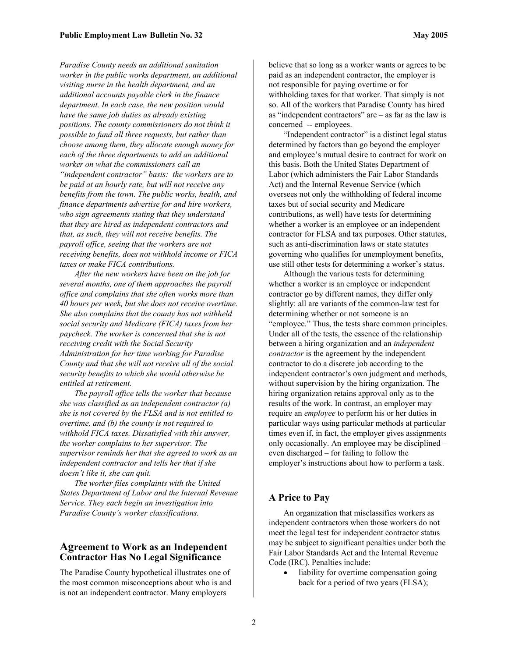*Paradise County needs an additional sanitation worker in the public works department, an additional visiting nurse in the health department, and an additional accounts payable clerk in the finance department. In each case, the new position would have the same job duties as already existing positions. The county commissioners do not think it possible to fund all three requests, but rather than choose among them, they allocate enough money for each of the three departments to add an additional worker on what the commissioners call an "independent contractor" basis: the workers are to be paid at an hourly rate, but will not receive any benefits from the town. The public works, health, and finance departments advertise for and hire workers, who sign agreements stating that they understand that they are hired as independent contractors and that, as such, they will not receive benefits. The payroll office, seeing that the workers are not receiving benefits, does not withhold income or FICA taxes or make FICA contributions.* 

*After the new workers have been on the job for several months, one of them approaches the payroll office and complains that she often works more than 40 hours per week, but she does not receive overtime. She also complains that the county has not withheld social security and Medicare (FICA) taxes from her paycheck. The worker is concerned that she is not receiving credit with the Social Security Administration for her time working for Paradise County and that she will not receive all of the social security benefits to which she would otherwise be entitled at retirement.* 

*The payroll office tells the worker that because she was classified as an independent contractor (a) she is not covered by the FLSA and is not entitled to overtime, and (b) the county is not required to withhold FICA taxes. Dissatisfied with this answer, the worker complains to her supervisor. The supervisor reminds her that she agreed to work as an independent contractor and tells her that if she doesn't like it, she can quit.* 

*The worker files complaints with the United States Department of Labor and the Internal Revenue Service. They each begin an investigation into Paradise County's worker classifications.* 

#### **Agreement to Work as an Independent Contractor Has No Legal Significance**

The Paradise County hypothetical illustrates one of the most common misconceptions about who is and is not an independent contractor. Many employers

believe that so long as a worker wants or agrees to be paid as an independent contractor, the employer is not responsible for paying overtime or for withholding taxes for that worker. That simply is not so. All of the workers that Paradise County has hired as "independent contractors" are  $-$  as far as the law is concerned -- employees.

"Independent contractor" is a distinct legal status determined by factors than go beyond the employer and employee's mutual desire to contract for work on this basis. Both the United States Department of Labor (which administers the Fair Labor Standards Act) and the Internal Revenue Service (which oversees not only the withholding of federal income taxes but of social security and Medicare contributions, as well) have tests for determining whether a worker is an employee or an independent contractor for FLSA and tax purposes. Other statutes, such as anti-discrimination laws or state statutes governing who qualifies for unemployment benefits, use still other tests for determining a worker's status.

Although the various tests for determining whether a worker is an employee or independent contractor go by different names, they differ only slightly: all are variants of the common-law test for determining whether or not someone is an "employee." Thus, the tests share common principles. Under all of the tests, the essence of the relationship between a hiring organization and an *independent contractor* is the agreement by the independent contractor to do a discrete job according to the independent contractor's own judgment and methods, without supervision by the hiring organization. The hiring organization retains approval only as to the results of the work. In contrast, an employer may require an *employee* to perform his or her duties in particular ways using particular methods at particular times even if, in fact, the employer gives assignments only occasionally. An employee may be disciplined – even discharged – for failing to follow the employer's instructions about how to perform a task.

#### **A Price to Pay**

An organization that misclassifies workers as independent contractors when those workers do not meet the legal test for independent contractor status may be subject to significant penalties under both the Fair Labor Standards Act and the Internal Revenue Code (IRC). Penalties include:

liability for overtime compensation going back for a period of two years (FLSA);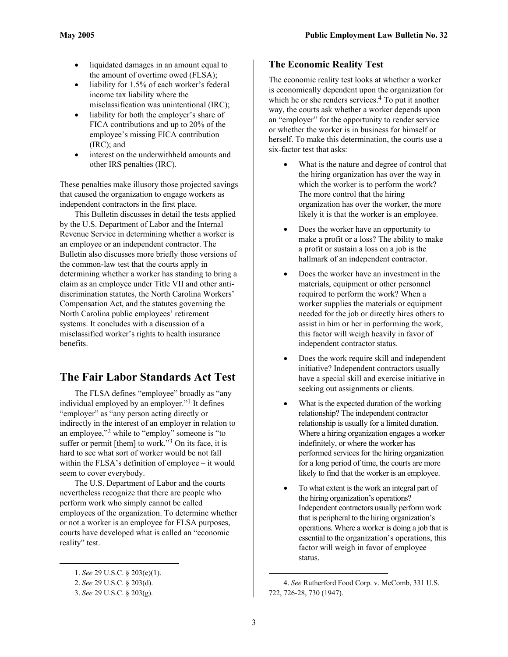- liquidated damages in an amount equal to the amount of overtime owed (FLSA);
- liability for 1.5% of each worker's federal income tax liability where the misclassification was unintentional (IRC);
- liability for both the employer's share of FICA contributions and up to 20% of the employee's missing FICA contribution (IRC); and
- interest on the underwithheld amounts and other IRS penalties (IRC).

These penalties make illusory those projected savings that caused the organization to engage workers as independent contractors in the first place.

This Bulletin discusses in detail the tests applied by the U.S. Department of Labor and the Internal Revenue Service in determining whether a worker is an employee or an independent contractor. The Bulletin also discusses more briefly those versions of the common-law test that the courts apply in determining whether a worker has standing to bring a claim as an employee under Title VII and other antidiscrimination statutes, the North Carolina Workers' Compensation Act, and the statutes governing the North Carolina public employees' retirement systems. It concludes with a discussion of a misclassified worker's rights to health insurance benefits.

## **The Fair Labor Standards Act Test**

The FLSA defines "employee" broadly as "any individual employed by an employer.["1](#page-2-0) It defines "employer" as "any person acting directly or indirectly in the interest of an employer in relation to an employee,"<sup>2</sup> while to "employ" someone is "to suffer or permit [them] to work."<sup>3</sup> On its face, it is hard to see what sort of worker would be not fall within the FLSA's definition of employee – it would seem to cover everybody.

The U.S. Department of Labor and the courts nevertheless recognize that there are people who perform work who simply cannot be called employees of the organization. To determine whether or not a worker is an employee for FLSA purposes, courts have developed what is called an "economic reality" test.

 $\overline{a}$ 

#### **The Economic Reality Test**

The economic reality test looks at whether a worker is economically dependent upon the organization for which he or she renders services. $4$  To put it another way, the courts ask whether a worker depends upon an "employer" for the opportunity to render service or whether the worker is in business for himself or herself. To make this determination, the courts use a six-factor test that asks:

- What is the nature and degree of control that the hiring organization has over the way in which the worker is to perform the work? The more control that the hiring organization has over the worker, the more likely it is that the worker is an employee.
- Does the worker have an opportunity to make a profit or a loss? The ability to make a profit or sustain a loss on a job is the hallmark of an independent contractor.
- Does the worker have an investment in the materials, equipment or other personnel required to perform the work? When a worker supplies the materials or equipment needed for the job or directly hires others to assist in him or her in performing the work, this factor will weigh heavily in favor of independent contractor status.
- Does the work require skill and independent initiative? Independent contractors usually have a special skill and exercise initiative in seeking out assignments or clients.
- What is the expected duration of the working relationship? The independent contractor relationship is usually for a limited duration. Where a hiring organization engages a worker indefinitely, or where the worker has performed services for the hiring organization for a long period of time, the courts are more likely to find that the worker is an employee.
- To what extent is the work an integral part of the hiring organization's operations? Independent contractors usually perform work that is peripheral to the hiring organization's operations. Where a worker is doing a job that is essential to the organization's operations, this factor will weigh in favor of employee status.

<span id="page-2-0"></span><sup>1.</sup> *See* 29 U.S.C. § 203(e)(1).

<span id="page-2-1"></span><sup>2.</sup> *See* 29 U.S.C. § 203(d).

<span id="page-2-2"></span><sup>3.</sup> *See* 29 U.S.C. § 203(g).

<span id="page-2-3"></span><sup>4.</sup> *See* Rutherford Food Corp. v. McComb, 331 U.S. 722, 726-28, 730 (1947).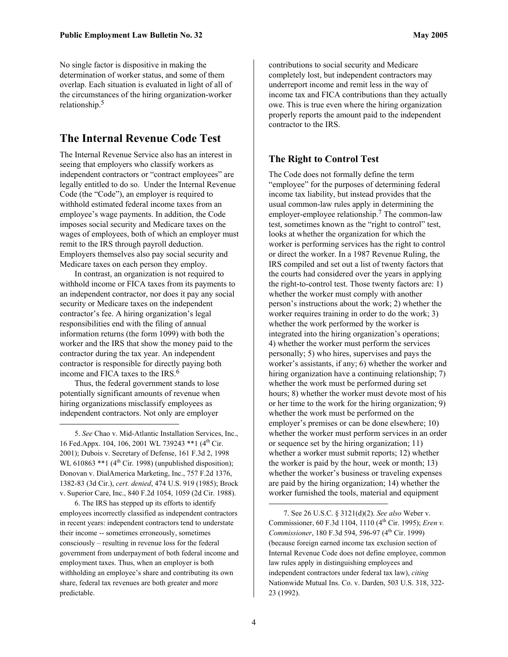No single factor is dispositive in making the determination of worker status, and some of them overlap. Each situation is evaluated in light of all of the circumstances of the hiring organization-worker relationship. [5](#page-3-0)

#### **The Internal Revenue Code Test**

The Internal Revenue Service also has an interest in seeing that employers who classify workers as independent contractors or "contract employees" are legally entitled to do so. Under the Internal Revenue Code (the "Code"), an employer is required to withhold estimated federal income taxes from an employee's wage payments. In addition, the Code imposes social security and Medicare taxes on the wages of employees, both of which an employer must remit to the IRS through payroll deduction. Employers themselves also pay social security and Medicare taxes on each person they employ.

In contrast, an organization is not required to withhold income or FICA taxes from its payments to an independent contractor, nor does it pay any social security or Medicare taxes on the independent contractor's fee. A hiring organization's legal responsibilities end with the filing of annual information returns (the form 1099) with both the worker and the IRS that show the money paid to the contractor during the tax year. An independent contractor is responsible for directly paying both income and FICA taxes to the IRS[.6](#page-3-1)

Thus, the federal government stands to lose potentially significant amounts of revenue when hiring organizations misclassify employees as independent contractors. Not only are employer 1

<span id="page-3-0"></span>5. *See* Chao v. Mid-Atlantic Installation Services, Inc., 16 Fed.Appx. 104, 106, 2001 WL 739243 \*\* 1 (4<sup>th</sup> Cir. 2001); Dubois v. Secretary of Defense, 161 F.3d 2, 1998 WL 610863  $**1$  (4<sup>th</sup> Cir. 1998) (unpublished disposition); Donovan v. DialAmerica Marketing, Inc., 757 F.2d 1376, 1382-83 (3d Cir.), *cert. denied*, 474 U.S. 919 (1985); Brock v. Superior Care, Inc., 840 F.2d 1054, 1059 (2d Cir. 1988).

<span id="page-3-1"></span>6. The IRS has stepped up its efforts to identify employees incorrectly classified as independent contractors in recent years: independent contractors tend to understate their income -- sometimes erroneously, sometimes consciously – resulting in revenue loss for the federal government from underpayment of both federal income and employment taxes. Thus, when an employer is both withholding an employee's share and contributing its own share, federal tax revenues are both greater and more predictable.

contributions to social security and Medicare completely lost, but independent contractors may underreport income and remit less in the way of income tax and FICA contributions than they actually owe. This is true even where the hiring organization properly reports the amount paid to the independent contractor to the IRS.

#### **The Right to Control Test**

The Code does not formally define the term "employee" for the purposes of determining federal income tax liability, but instead provides that the usual common-law rules apply in determining the employer-employee relationship.<sup>7</sup> The common-law test, sometimes known as the "right to control" test, looks at whether the organization for which the worker is performing services has the right to control or direct the worker. In a 1987 Revenue Ruling, the IRS compiled and set out a list of twenty factors that the courts had considered over the years in applying the right-to-control test. Those twenty factors are: 1) whether the worker must comply with another person's instructions about the work; 2) whether the worker requires training in order to do the work; 3) whether the work performed by the worker is integrated into the hiring organization's operations; 4) whether the worker must perform the services personally; 5) who hires, supervises and pays the worker's assistants, if any; 6) whether the worker and hiring organization have a continuing relationship; 7) whether the work must be performed during set hours; 8) whether the worker must devote most of his or her time to the work for the hiring organization; 9) whether the work must be performed on the employer's premises or can be done elsewhere; 10) whether the worker must perform services in an order or sequence set by the hiring organization; 11) whether a worker must submit reports; 12) whether the worker is paid by the hour, week or month; 13) whether the worker's business or traveling expenses are paid by the hiring organization; 14) whether the worker furnished the tools, material and equipment

<span id="page-3-2"></span><sup>7.</sup> See 26 U.S.C. § 3121(d)(2). *See also* Weber v. Commissioner, 60 F.3d 1104, 1110 (4<sup>th</sup> Cir. 1995); *Eren v. Commissioner*, 180 F.3d 594, 596-97 (4<sup>th</sup> Cir. 1999) (because foreign earned income tax exclusion section of Internal Revenue Code does not define employee, common law rules apply in distinguishing employees and independent contractors under federal tax law), *citing* Nationwide Mutual Ins. Co. v. Darden, 503 U.S. 318, 322- 23 (1992).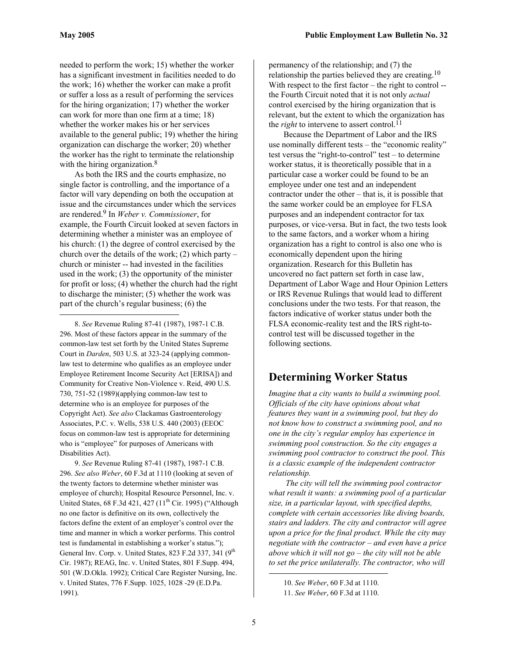1

needed to perform the work; 15) whether the worker has a significant investment in facilities needed to do the work; 16) whether the worker can make a profit or suffer a loss as a result of performing the services for the hiring organization; 17) whether the worker can work for more than one firm at a time; 18) whether the worker makes his or her services available to the general public; 19) whether the hiring organization can discharge the worker; 20) whether the worker has the right to terminate the relationship with the hiring organization.<sup>[8](#page-4-0)</sup>

As both the IRS and the courts emphasize, no single factor is controlling, and the importance of a factor will vary depending on both the occupation at issue and the circumstances under which the services are rendered. [9](#page-4-1) In *Weber v. Commissioner*, for example, the Fourth Circuit looked at seven factors in determining whether a minister was an employee of his church: (1) the degree of control exercised by the church over the details of the work;  $(2)$  which party – church or minister -- had invested in the facilities used in the work; (3) the opportunity of the minister for profit or loss; (4) whether the church had the right to discharge the minister; (5) whether the work was part of the church's regular business; (6) the

<span id="page-4-0"></span>8. *See* Revenue Ruling 87-41 (1987), 1987-1 C.B. 296. Most of these factors appear in the summary of the common-law test set forth by the United States Supreme Court in *Darden*, 503 U.S. at 323-24 (applying commonlaw test to determine who qualifies as an employee under Employee Retirement Income Security Act [ERISA]) and Community for Creative Non-Violence v. Reid, 490 U.S. 730, 751-52 (1989)(applying common-law test to determine who is an employee for purposes of the Copyright Act). *See also* Clackamas Gastroenterology Associates, P.C. v. Wells, 538 U.S. 440 (2003) (EEOC focus on common-law test is appropriate for determining who is "employee" for purposes of Americans with Disabilities Act).

<span id="page-4-1"></span>9. *See* Revenue Ruling 87-41 (1987), 1987-1 C.B. 296. *See also Weber*, 60 F.3d at 1110 (looking at seven of the twenty factors to determine whether minister was employee of church); Hospital Resource Personnel, Inc. v. United States,  $68$  F.3d  $421$ ,  $427$   $(11<sup>th</sup>$  Cir. 1995) ("Although no one factor is definitive on its own, collectively the factors define the extent of an employer's control over the time and manner in which a worker performs. This control test is fundamental in establishing a worker's status."); General Inv. Corp. v. United States, 823 F.2d 337, 341 (9<sup>th</sup> Cir. 1987); REAG, Inc. v. United States, 801 F.Supp. 494, 501 (W.D.Okla. 1992); Critical Care Register Nursing, Inc. v. United States, 776 F.Supp. 1025, 1028 -29 (E.D.Pa. 1991).

permanency of the relationship; and (7) the relationship the parties believed they are creating.<sup>[10](#page-4-2)</sup> With respect to the first factor – the right to control -the Fourth Circuit noted that it is not only *actual* control exercised by the hiring organization that is relevant, but the extent to which the organization has the *right* to intervene to assert control.<sup>11</sup>

Because the Department of Labor and the IRS use nominally different tests – the "economic reality" test versus the "right-to-control" test – to determine worker status, it is theoretically possible that in a particular case a worker could be found to be an employee under one test and an independent contractor under the other – that is, it is possible that the same worker could be an employee for FLSA purposes and an independent contractor for tax purposes, or vice-versa. But in fact, the two tests look to the same factors, and a worker whom a hiring organization has a right to control is also one who is economically dependent upon the hiring organization. Research for this Bulletin has uncovered no fact pattern set forth in case law, Department of Labor Wage and Hour Opinion Letters or IRS Revenue Rulings that would lead to different conclusions under the two tests. For that reason, the factors indicative of worker status under both the FLSA economic-reality test and the IRS right-tocontrol test will be discussed together in the following sections.

### **Determining Worker Status**

*Imagine that a city wants to build a swimming pool. Officials of the city have opinions about what features they want in a swimming pool, but they do not know how to construct a swimming pool, and no one in the city's regular employ has experience in swimming pool construction. So the city engages a swimming pool contractor to construct the pool. This is a classic example of the independent contractor relationship.*

*The city will tell the swimming pool contractor what result it wants: a swimming pool of a particular size, in a particular layout, with specified depths, complete with certain accessories like diving boards, stairs and ladders. The city and contractor will agree upon a price for the final product. While the city may negotiate with the contractor – and even have a price above which it will not go – the city will not be able to set the price unilaterally. The contractor, who will* 

<span id="page-4-2"></span><sup>10.</sup> *See Weber*, 60 F.3d at 1110.

<span id="page-4-3"></span><sup>11.</sup> *See Weber*, 60 F.3d at 1110.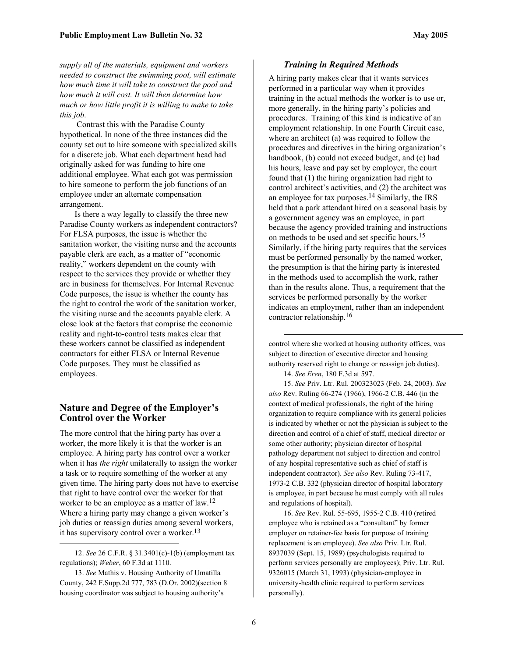*supply all of the materials, equipment and workers needed to construct the swimming pool, will estimate how much time it will take to construct the pool and how much it will cost. It will then determine how much or how little profit it is willing to make to take this job.*

 Contrast this with the Paradise County hypothetical. In none of the three instances did the county set out to hire someone with specialized skills for a discrete job. What each department head had originally asked for was funding to hire one additional employee. What each got was permission to hire someone to perform the job functions of an employee under an alternate compensation arrangement.

Is there a way legally to classify the three new Paradise County workers as independent contractors? For FLSA purposes, the issue is whether the sanitation worker, the visiting nurse and the accounts payable clerk are each, as a matter of "economic reality," workers dependent on the county with respect to the services they provide or whether they are in business for themselves. For Internal Revenue Code purposes, the issue is whether the county has the right to control the work of the sanitation worker, the visiting nurse and the accounts payable clerk. A close look at the factors that comprise the economic reality and right-to-control tests makes clear that these workers cannot be classified as independent contractors for either FLSA or Internal Revenue Code purposes. They must be classified as employees.

#### **Nature and Degree of the Employer's Control over the Worker**

The more control that the hiring party has over a worker, the more likely it is that the worker is an employee. A hiring party has control over a worker when it has *the right* unilaterally to assign the worker a task or to require something of the worker at any given time. The hiring party does not have to exercise that right to have control over the worker for that worker to be an employee as a matter of law.<sup>[12](#page-5-0)</sup> Where a hiring party may change a given worker's job duties or reassign duties among several workers, it has supervisory control over a worker.<sup>13</sup>

1

#### *Training in Required Methods*

A hiring party makes clear that it wants services performed in a particular way when it provides training in the actual methods the worker is to use or, more generally, in the hiring party's policies and procedures. Training of this kind is indicative of an employment relationship. In one Fourth Circuit case, where an architect (a) was required to follow the procedures and directives in the hiring organization's handbook, (b) could not exceed budget, and (c) had his hours, leave and pay set by employer, the court found that (1) the hiring organization had right to control architect's activities, and (2) the architect was an employee for tax purposes. [14 S](#page-5-2)imilarly, the IRS held that a park attendant hired on a seasonal basis by a government agency was an employee, in part because the agency provided training and instructions on methods to be used and set specific hours.[15](#page-5-3) Similarly, if the hiring party requires that the services must be performed personally by the named worker, the presumption is that the hiring party is interested in the methods used to accomplish the work, rather than in the results alone. Thus, a requirement that the services be performed personally by the worker indicates an employment, rather than an independent contractor relationship. [16](#page-5-4)

control where she worked at housing authority offices, was subject to direction of executive director and housing authority reserved right to change or reassign job duties).

<span id="page-5-3"></span><span id="page-5-2"></span>14. *See Eren*, 180 F.3d at 597.

1

15. *See* Priv. Ltr. Rul. 200323023 (Feb. 24, 2003). *See also* Rev. Ruling 66-274 (1966), 1966-2 C.B. 446 (in the context of medical professionals, the right of the hiring organization to require compliance with its general policies is indicated by whether or not the physician is subject to the direction and control of a chief of staff, medical director or some other authority; physician director of hospital pathology department not subject to direction and control of any hospital representative such as chief of staff is independent contractor). *See also* Rev. Ruling 73-417, 1973-2 C.B. 332 (physician director of hospital laboratory is employee, in part because he must comply with all rules and regulations of hospital).

<span id="page-5-4"></span>16. *See* Rev. Rul. 55-695, 1955-2 C.B. 410 (retired employee who is retained as a "consultant" by former employer on retainer-fee basis for purpose of training replacement is an employee). *See also* Priv. Ltr. Rul. 8937039 (Sept. 15, 1989) (psychologists required to perform services personally are employees); Priv. Ltr. Rul. 9326015 (March 31, 1993) (physician-employee in university-health clinic required to perform services personally).

<span id="page-5-0"></span><sup>12.</sup> *See* 26 C.F.R. § 31.3401(c)-1(b) (employment tax regulations); *Weber*, 60 F.3d at 1110.

<span id="page-5-1"></span><sup>13.</sup> *See* Mathis v. Housing Authority of Umatilla County, 242 F.Supp.2d 777, 783 (D.Or. 2002)(section 8 housing coordinator was subject to housing authority's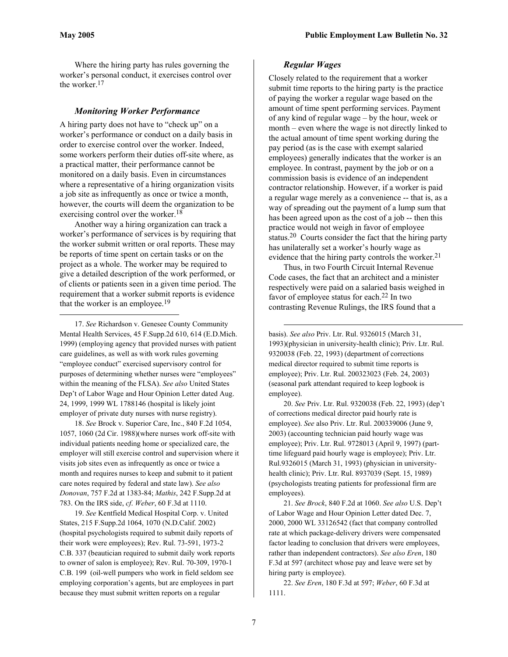$\overline{a}$ 

Where the hiring party has rules governing the worker's personal conduct, it exercises control over the worker.[17](#page-6-0) 

#### *Monitoring Worker Performance*

A hiring party does not have to "check up" on a worker's performance or conduct on a daily basis in order to exercise control over the worker. Indeed, some workers perform their duties off-site where, as a practical matter, their performance cannot be monitored on a daily basis. Even in circumstances where a representative of a hiring organization visits a job site as infrequently as once or twice a month, however, the courts will deem the organization to be exercising control over the worker.<sup>[18](#page-6-1)</sup>

Another way a hiring organization can track a worker's performance of services is by requiring that the worker submit written or oral reports. These may be reports of time spent on certain tasks or on the project as a whole. The worker may be required to give a detailed description of the work performed, or of clients or patients seen in a given time period. The requirement that a worker submit reports is evidence that the worker is an employee.<sup>[19](#page-6-2)</sup>

<span id="page-6-0"></span>17. *See* Richardson v. Genesee County Community Mental Health Services, 45 F.Supp.2d 610, 614 (E.D.Mich. 1999) (employing agency that provided nurses with patient care guidelines, as well as with work rules governing "employee conduct" exercised supervisory control for purposes of determining whether nurses were "employees" within the meaning of the FLSA). *See also* United States Dep't of Labor Wage and Hour Opinion Letter dated Aug. 24, 1999, 1999 WL 1788146 (hospital is likely joint employer of private duty nurses with nurse registry).

<span id="page-6-1"></span>18. *See* Brock v. Superior Care, Inc., 840 F.2d 1054, 1057, 1060 (2d Cir. 1988)(where nurses work off-site with individual patients needing home or specialized care, the employer will still exercise control and supervision where it visits job sites even as infrequently as once or twice a month and requires nurses to keep and submit to it patient care notes required by federal and state law). *See also Donovan*, 757 F.2d at 1383-84; *Mathis*, 242 F.Supp.2d at 783. On the IRS side, *cf*. *Weber*, 60 F.3d at 1110.

<span id="page-6-2"></span>19. *See* Kentfield Medical Hospital Corp. v. United States, 215 F.Supp.2d 1064, 1070 (N.D.Calif. 2002) (hospital psychologists required to submit daily reports of their work were employees); Rev. Rul. 73-591, 1973-2 C.B. 337 (beautician required to submit daily work reports to owner of salon is employee); Rev. Rul. 70-309, 1970-1 C.B. 199 (oil-well pumpers who work in field seldom see employing corporation's agents, but are employees in part because they must submit written reports on a regular

#### *Regular Wages*

Closely related to the requirement that a worker submit time reports to the hiring party is the practice of paying the worker a regular wage based on the amount of time spent performing services. Payment of any kind of regular wage – by the hour, week or month – even where the wage is not directly linked to the actual amount of time spent working during the pay period (as is the case with exempt salaried employees) generally indicates that the worker is an employee. In contrast, payment by the job or on a commission basis is evidence of an independent contractor relationship. However, if a worker is paid a regular wage merely as a convenience -- that is, as a way of spreading out the payment of a lump sum that has been agreed upon as the cost of a job -- then this practice would not weigh in favor of employee status.[20](#page-6-3) Courts consider the fact that the hiring party has unilaterally set a worker's hourly wage as evidence that the hiring party controls the worker.<sup>[21](#page-6-4)</sup>

Thus, in two Fourth Circuit Internal Revenue Code cases, the fact that an architect and a minister respectively were paid on a salaried basis weighed in favor of employee status for each.[22](#page-6-5) In two contrasting Revenue Rulings, the IRS found that a

basis). *See also* Priv. Ltr. Rul. 9326015 (March 31, 1993)(physician in university-health clinic); Priv. Ltr. Rul. 9320038 (Feb. 22, 1993) (department of corrections medical director required to submit time reports is employee); Priv. Ltr. Rul. 200323023 (Feb. 24, 2003) (seasonal park attendant required to keep logbook is employee).

<span id="page-6-3"></span>20. *See* Priv. Ltr. Rul. 9320038 (Feb. 22, 1993) (dep't of corrections medical director paid hourly rate is employee). *See* also Priv. Ltr. Rul. 200339006 (June 9, 2003) (accounting technician paid hourly wage was employee); Priv. Ltr. Rul. 9728013 (April 9, 1997) (parttime lifeguard paid hourly wage is employee); Priv. Ltr. Rul.9326015 (March 31, 1993) (physician in universityhealth clinic); Priv. Ltr. Rul. 8937039 (Sept. 15, 1989) (psychologists treating patients for professional firm are employees).

<span id="page-6-4"></span>21. *See Brock*, 840 F.2d at 1060. *See also* U.S. Dep't of Labor Wage and Hour Opinion Letter dated Dec. 7, 2000, 2000 WL 33126542 (fact that company controlled rate at which package-delivery drivers were compensated factor leading to conclusion that drivers were employees, rather than independent contractors). *See also Eren*, 180 F.3d at 597 (architect whose pay and leave were set by hiring party is employee).

<span id="page-6-5"></span>22. *See Eren*, 180 F.3d at 597; *Weber*, 60 F.3d at 1111.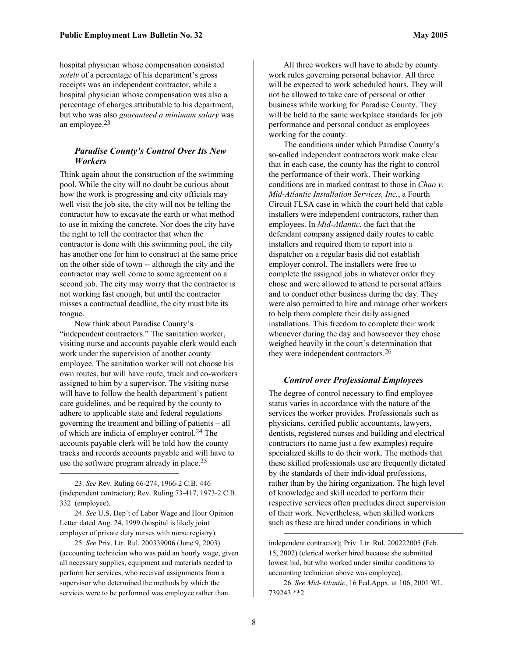hospital physician whose compensation consisted *solely* of a percentage of his department's gross receipts was an independent contractor, while a hospital physician whose compensation was also a percentage of charges attributable to his department, but who was also *guaranteed a minimum salary* was an employee[.23](#page-7-0) 

#### *Paradise County's Control Over Its New Workers*

Think again about the construction of the swimming pool. While the city will no doubt be curious about how the work is progressing and city officials may well visit the job site, the city will not be telling the contractor how to excavate the earth or what method to use in mixing the concrete. Nor does the city have the right to tell the contractor that when the contractor is done with this swimming pool, the city has another one for him to construct at the same price on the other side of town -- although the city and the contractor may well come to some agreement on a second job. The city may worry that the contractor is not working fast enough, but until the contractor misses a contractual deadline, the city must bite its tongue.

Now think about Paradise County's "independent contractors." The sanitation worker, visiting nurse and accounts payable clerk would each work under the supervision of another county employee. The sanitation worker will not choose his own routes, but will have route, truck and co-workers assigned to him by a supervisor. The visiting nurse will have to follow the health department's patient care guidelines, and be required by the county to adhere to applicable state and federal regulations governing the treatment and billing of patients – all of which are indicia of employer control[.24](#page-7-1) The accounts payable clerk will be told how the county tracks and records accounts payable and will have to use the software program already in place.<sup>25</sup>

 $\overline{a}$ 

All three workers will have to abide by county work rules governing personal behavior. All three will be expected to work scheduled hours. They will not be allowed to take care of personal or other business while working for Paradise County. They will be held to the same workplace standards for job performance and personal conduct as employees working for the county.

The conditions under which Paradise County's so-called independent contractors work make clear that in each case, the county has the right to control the performance of their work. Their working conditions are in marked contrast to those in *Chao v. Mid-Atlantic Installation Services, Inc.*, a Fourth Circuit FLSA case in which the court held that cable installers were independent contractors, rather than employees. In *Mid-Atlantic*, the fact that the defendant company assigned daily routes to cable installers and required them to report into a dispatcher on a regular basis did not establish employer control. The installers were free to complete the assigned jobs in whatever order they chose and were allowed to attend to personal affairs and to conduct other business during the day. They were also permitted to hire and manage other workers to help them complete their daily assigned installations. This freedom to complete their work whenever during the day and howsoever they chose weighed heavily in the court's determination that they were independent contractors[.26](#page-7-3)

#### *Control over Professional Employees*

The degree of control necessary to find employee status varies in accordance with the nature of the services the worker provides. Professionals such as physicians, certified public accountants, lawyers, dentists, registered nurses and building and electrical contractors (to name just a few examples) require specialized skills to do their work. The methods that these skilled professionals use are frequently dictated by the standards of their individual professions, rather than by the hiring organization. The high level of knowledge and skill needed to perform their respective services often precludes direct supervision of their work. Nevertheless, when skilled workers such as these are hired under conditions in which

independent contractor); Priv. Ltr. Rul. 200222005 (Feb. 15, 2002) (clerical worker hired because she submitted lowest bid, but who worked under similar conditions to accounting technician above was employee).

<span id="page-7-3"></span>26. *See Mid-Atlantic*, 16 Fed.Appx. at 106, 2001 WL 739243 \*\*2.

<span id="page-7-0"></span><sup>23.</sup> *See* Rev. Ruling 66-274, 1966-2 C.B. 446 (independent contractor); Rev. Ruling 73-417, 1973-2 C.B. 332 (employee).

<span id="page-7-1"></span><sup>24.</sup> *See* U.S. Dep't of Labor Wage and Hour Opinion Letter dated Aug. 24, 1999 (hospital is likely joint employer of private duty nurses with nurse registry).

<span id="page-7-2"></span><sup>25.</sup> *See* Priv. Ltr. Rul. 200339006 (June 9, 2003) (accounting technician who was paid an hourly wage, given all necessary supplies, equipment and materials needed to perform her services, who received assignments from a supervisor who determined the methods by which the services were to be performed was employee rather than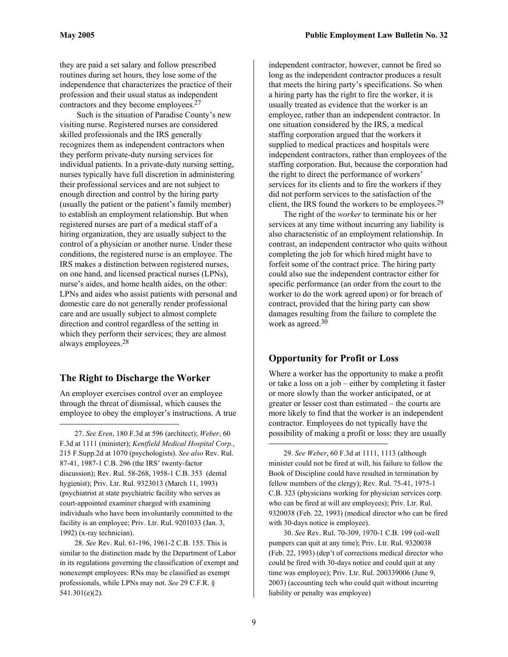they are paid a set salary and follow prescribed routines during set hours, they lose some of the independence that characterizes the practice of their profession and their usual status as independent contractors and they become employees[.27](#page-8-0)

 Such is the situation of Paradise County's new visiting nurse. Registered nurses are considered skilled professionals and the IRS generally recognizes them as independent contractors when they perform private-duty nursing services for individual patients. In a private-duty nursing setting, nurses typically have full discretion in administering their professional services and are not subject to enough direction and control by the hiring party (usually the patient or the patient's family member) to establish an employment relationship. But when registered nurses are part of a medical staff of a hiring organization, they are usually subject to the control of a physician or another nurse. Under these conditions, the registered nurse is an employee. The IRS makes a distinction between registered nurses, on one hand, and licensed practical nurses (LPNs), nurse's aides, and home health aides, on the other: LPNs and aides who assist patients with personal and domestic care do not generally render professional care and are usually subject to almost complete direction and control regardless of the setting in which they perform their services; they are almost always employees[.28](#page-8-1) 

#### **The Right to Discharge the Worker**

 $\overline{a}$ 

An employer exercises control over an employee through the threat of dismissal, which causes the employee to obey the employer's instructions. A true

<span id="page-8-0"></span>27. *See Eren*, 180 F.3d at 596 (architect); *Weber*, 60 F.3d at 1111 (minister); *Kentfield Medical Hospital Corp.*, 215 F.Supp.2d at 1070 (psychologists). *See also* Rev. Rul. 87-41, 1987-1 C.B. 296 (the IRS' twenty-factor discussion); Rev. Rul. 58-268, 1958-1 C.B. 353 (dental hygienist); Priv. Ltr. Rul. 9323013 (March 11, 1993) (psychiatrist at state psychiatric facility who serves as court-appointed examiner charged with examining individuals who have been involuntarily committed to the facility is an employee; Priv. Ltr. Rul. 9201033 (Jan. 3, 1992) (x-ray technician).

<span id="page-8-1"></span>28. *See* Rev. Rul. 61-196, 1961-2 C.B. 155. This is similar to the distinction made by the Department of Labor in its regulations governing the classification of exempt and nonexempt employees: RNs may be classified as exempt professionals, while LPNs may not. *See* 29 C.F.R. § 541.301(e)(2).

independent contractor, however, cannot be fired so long as the independent contractor produces a result that meets the hiring party's specifications. So when a hiring party has the right to fire the worker, it is usually treated as evidence that the worker is an employee, rather than an independent contractor. In one situation considered by the IRS, a medical staffing corporation argued that the workers it supplied to medical practices and hospitals were independent contractors, rather than employees of the staffing corporation. But, because the corporation had the right to direct the performance of workers' services for its clients and to fire the workers if they did not perform services to the satisfaction of the client, the IRS found the workers to be employees.<sup>[29](#page-8-2)</sup>

The right of the *worker* to terminate his or her services at any time without incurring any liability is also characteristic of an employment relationship. In contrast, an independent contractor who quits without completing the job for which hired might have to forfeit some of the contract price. The hiring party could also sue the independent contractor either for specific performance (an order from the court to the worker to do the work agreed upon) or for breach of contract, provided that the hiring party can show damages resulting from the failure to complete the work as agreed.<sup>30</sup>

#### **Opportunity for Profit or Loss**

Where a worker has the opportunity to make a profit or take a loss on a job – either by completing it faster or more slowly than the worker anticipated, or at greater or lesser cost than estimated – the courts are more likely to find that the worker is an independent contractor. Employees do not typically have the possibility of making a profit or loss: they are usually

<span id="page-8-2"></span>29. *See Weber*, 60 F.3d at 1111, 1113 (although minister could not be fired at will, his failure to follow the Book of Discipline could have resulted in termination by fellow members of the clergy); Rev. Rul. 75-41, 1975-1 C.B. 323 (physicians working for physician services corp. who can be fired at will are employees); Priv. Ltr. Rul. 9320038 (Feb. 22, 1993) (medical director who can be fired with 30-days notice is employee).

<span id="page-8-3"></span>30. *See* Rev. Rul. 70-309, 1970-1 C.B. 199 (oil-well pumpers can quit at any time); Priv. Ltr. Rul. 9320038 (Feb. 22, 1993) (dep't of corrections medical director who could be fired with 30-days notice and could quit at any time was employee); Priv. Ltr. Rul. 200339006 (June 9, 2003) (accounting tech who could quit without incurring liability or penalty was employee)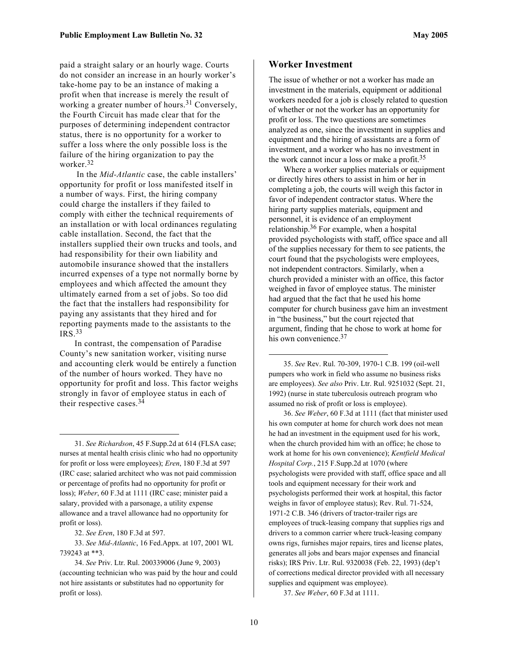paid a straight salary or an hourly wage. Courts do not consider an increase in an hourly worker's take-home pay to be an instance of making a profit when that increase is merely the result of working a greater number of hours.<sup>31</sup> Conversely, the Fourth Circuit has made clear that for the purposes of determining independent contractor status, there is no opportunity for a worker to suffer a loss where the only possible loss is the failure of the hiring organization to pay the worker.[32](#page-9-1)

 In the *Mid-Atlantic* case, the cable installers' opportunity for profit or loss manifested itself in a number of ways. First, the hiring company could charge the installers if they failed to comply with either the technical requirements of an installation or with local ordinances regulating cable installation. Second, the fact that the installers supplied their own trucks and tools, and had responsibility for their own liability and automobile insurance showed that the installers incurred expenses of a type not normally borne by employees and which affected the amount they ultimately earned from a set of jobs. So too did the fact that the installers had responsibility for paying any assistants that they hired and for reporting payments made to the assistants to the IRS.[33](#page-9-2)

In contrast, the compensation of Paradise County's new sanitation worker, visiting nurse and accounting clerk would be entirely a function of the number of hours worked. They have no opportunity for profit and loss. This factor weighs strongly in favor of employee status in each of their respective cases. [34](#page-9-3) 

<span id="page-9-0"></span>31. *See Richardson*, 45 F.Supp.2d at 614 (FLSA case; nurses at mental health crisis clinic who had no opportunity for profit or loss were employees); *Eren*, 180 F.3d at 597 (IRC case; salaried architect who was not paid commission or percentage of profits had no opportunity for profit or loss); *Weber*, 60 F.3d at 1111 (IRC case; minister paid a salary, provided with a parsonage, a utility expense allowance and a travel allowance had no opportunity for profit or loss).

<span id="page-9-2"></span><span id="page-9-1"></span>32. *See Eren*, 180 F.3d at 597.

1

33. *See Mid-Atlantic*, 16 Fed.Appx. at 107, 2001 WL 739243 at \*\*3.

<span id="page-9-3"></span>34. *See* Priv. Ltr. Rul. 200339006 (June 9, 2003) (accounting technician who was paid by the hour and could not hire assistants or substitutes had no opportunity for profit or loss).

#### **Worker Investment**

The issue of whether or not a worker has made an investment in the materials, equipment or additional workers needed for a job is closely related to question of whether or not the worker has an opportunity for profit or loss. The two questions are sometimes analyzed as one, since the investment in supplies and equipment and the hiring of assistants are a form of investment, and a worker who has no investment in the work cannot incur a loss or make a profit.[35](#page-9-4) 

Where a worker supplies materials or equipment or directly hires others to assist in him or her in completing a job, the courts will weigh this factor in favor of independent contractor status. Where the hiring party supplies materials, equipment and personnel, it is evidence of an employment relationship. [36](#page-9-5) For example, when a hospital provided psychologists with staff, office space and all of the supplies necessary for them to see patients, the court found that the psychologists were employees, not independent contractors. Similarly, when a church provided a minister with an office, this factor weighed in favor of employee status. The minister had argued that the fact that he used his home computer for church business gave him an investment in "the business," but the court rejected that argument, finding that he chose to work at home for his own convenience.<sup>37</sup>

<span id="page-9-4"></span>35. *See* Rev. Rul. 70-309, 1970-1 C.B. 199 (oil-well pumpers who work in field who assume no business risks are employees). *See also* Priv. Ltr. Rul. 9251032 (Sept. 21, 1992) (nurse in state tuberculosis outreach program who assumed no risk of profit or loss is employee).

<span id="page-9-5"></span>36. *See Weber*, 60 F.3d at 1111 (fact that minister used his own computer at home for church work does not mean he had an investment in the equipment used for his work, when the church provided him with an office; he chose to work at home for his own convenience); *Kentfield Medical Hospital Corp.*, 215 F.Supp.2d at 1070 (where psychologists were provided with staff, office space and all tools and equipment necessary for their work and psychologists performed their work at hospital, this factor weighs in favor of employee status); Rev. Rul. 71-524, 1971-2 C.B. 346 (drivers of tractor-trailer rigs are employees of truck-leasing company that supplies rigs and drivers to a common carrier where truck-leasing company owns rigs, furnishes major repairs, tires and license plates, generates all jobs and bears major expenses and financial risks); IRS Priv. Ltr. Rul. 9320038 (Feb. 22, 1993) (dep't of corrections medical director provided with all necessary supplies and equipment was employee).

<span id="page-9-6"></span>37. *See Weber*, 60 F.3d at 1111.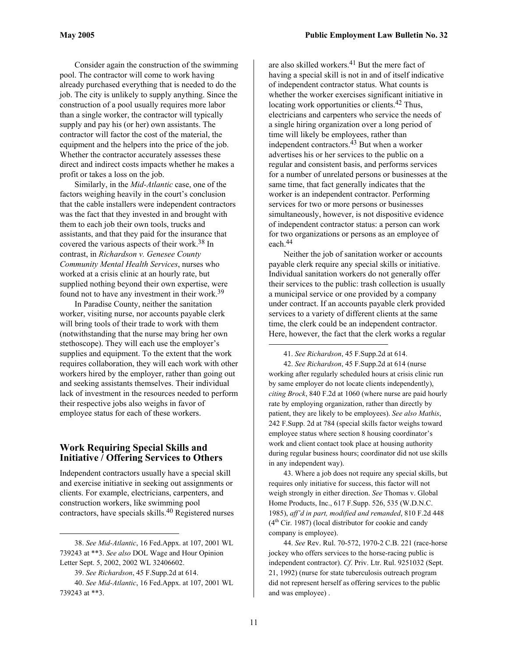Consider again the construction of the swimming pool. The contractor will come to work having already purchased everything that is needed to do the job. The city is unlikely to supply anything. Since the construction of a pool usually requires more labor than a single worker, the contractor will typically supply and pay his (or her) own assistants. The contractor will factor the cost of the material, the equipment and the helpers into the price of the job. Whether the contractor accurately assesses these direct and indirect costs impacts whether he makes a profit or takes a loss on the job.

Similarly, in the *Mid-Atlantic* case, one of the factors weighing heavily in the court's conclusion that the cable installers were independent contractors was the fact that they invested in and brought with them to each job their own tools, trucks and assistants, and that they paid for the insurance that covered the various aspects of their work. [38](#page-10-0) In contrast, in *Richardson v. Genesee County Community Mental Health Services*, nurses who worked at a crisis clinic at an hourly rate, but supplied nothing beyond their own expertise, were found not to have any investment in their work.<sup>[39](#page-10-1)</sup>

In Paradise County, neither the sanitation worker, visiting nurse, nor accounts payable clerk will bring tools of their trade to work with them (notwithstanding that the nurse may bring her own stethoscope). They will each use the employer's supplies and equipment. To the extent that the work requires collaboration, they will each work with other workers hired by the employer, rather than going out and seeking assistants themselves. Their individual lack of investment in the resources needed to perform their respective jobs also weighs in favor of employee status for each of these workers.

#### **Work Requiring Special Skills and Initiative / Offering Services to Others**

Independent contractors usually have a special skill and exercise initiative in seeking out assignments or clients. For example, electricians, carpenters, and construction workers, like swimming pool contractors, have specials skills.[40](#page-10-2) Registered nurses

 $\overline{a}$ 

are also skilled workers.<sup>41</sup> But the mere fact of having a special skill is not in and of itself indicative of independent contractor status. What counts is whether the worker exercises significant initiative in locating work opportunities or clients.<sup>42</sup> Thus, electricians and carpenters who service the needs of a single hiring organization over a long period of time will likely be employees, rather than independent contractors.<sup>43</sup> But when a worker advertises his or her services to the public on a regular and consistent basis, and performs services for a number of unrelated persons or businesses at the same time, that fact generally indicates that the worker is an independent contractor. Performing services for two or more persons or businesses simultaneously, however, is not dispositive evidence of independent contractor status: a person can work for two organizations or persons as an employee of each.[44](#page-10-6)

Neither the job of sanitation worker or accounts payable clerk require any special skills or initiative. Individual sanitation workers do not generally offer their services to the public: trash collection is usually a municipal service or one provided by a company under contract. If an accounts payable clerk provided services to a variety of different clients at the same time, the clerk could be an independent contractor. Here, however, the fact that the clerk works a regular

42. *See Richardson*, 45 F.Supp.2d at 614 (nurse working after regularly scheduled hours at crisis clinic run by same employer do not locate clients independently), *citing Brock*, 840 F.2d at 1060 (where nurse are paid hourly rate by employing organization, rather than directly by patient, they are likely to be employees). *See also Mathis*, 242 F.Supp. 2d at 784 (special skills factor weighs toward employee status where section 8 housing coordinator's work and client contact took place at housing authority during regular business hours; coordinator did not use skills in any independent way).

<span id="page-10-5"></span>43. Where a job does not require any special skills, but requires only initiative for success, this factor will not weigh strongly in either direction. *See* Thomas v. Global Home Products, Inc., 617 F.Supp. 526, 535 (W.D.N.C. 1985), *aff'd in part, modified and remanded*, 810 F.2d 448  $(4<sup>th</sup> Cir. 1987)$  (local distributor for cookie and candy company is employee).

<span id="page-10-6"></span>44. *See* Rev. Rul. 70-572, 1970-2 C.B. 221 (race-horse jockey who offers services to the horse-racing public is independent contractor). *Cf*. Priv. Ltr. Rul. 9251032 (Sept. 21, 1992) (nurse for state tuberculosis outreach program did not represent herself as offering services to the public and was employee) .

<span id="page-10-0"></span><sup>38.</sup> *See Mid-Atlantic*, 16 Fed.Appx. at 107, 2001 WL 739243 at \*\*3. *See also* DOL Wage and Hour Opinion Letter Sept. 5, 2002, 2002 WL 32406602.

<span id="page-10-2"></span><span id="page-10-1"></span><sup>39.</sup> *See Richardson*, 45 F.Supp.2d at 614.

<sup>40.</sup> *See Mid-Atlantic*, 16 Fed.Appx. at 107, 2001 WL 739243 at \*\*3.

<span id="page-10-4"></span><span id="page-10-3"></span><sup>41.</sup> *See Richardson*, 45 F.Supp.2d at 614.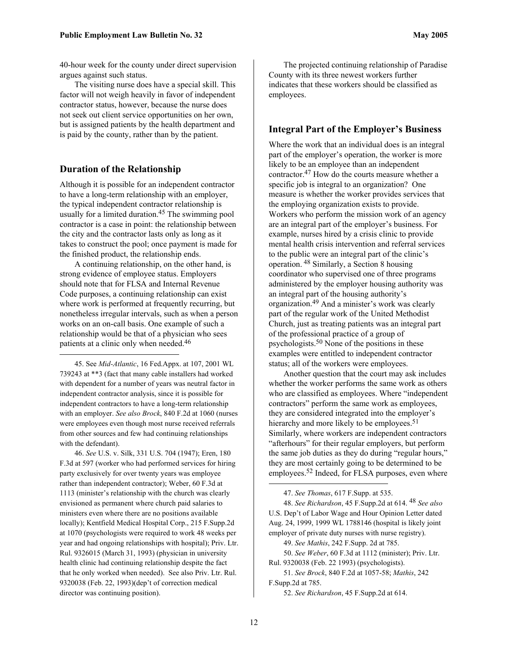40-hour week for the county under direct supervision argues against such status.

The visiting nurse does have a special skill. This factor will not weigh heavily in favor of independent contractor status, however, because the nurse does not seek out client service opportunities on her own, but is assigned patients by the health department and is paid by the county, rather than by the patient.

#### **Duration of the Relationship**

 $\overline{a}$ 

Although it is possible for an independent contractor to have a long-term relationship with an employer, the typical independent contractor relationship is usually for a limited duration[.45](#page-11-0) The swimming pool contractor is a case in point: the relationship between the city and the contractor lasts only as long as it takes to construct the pool; once payment is made for the finished product, the relationship ends.

A continuing relationship, on the other hand, is strong evidence of employee status. Employers should note that for FLSA and Internal Revenue Code purposes, a continuing relationship can exist where work is performed at frequently recurring, but nonetheless irregular intervals, such as when a person works on an on-call basis. One example of such a relationship would be that of a physician who sees patients at a clinic only when needed. [46](#page-11-1) 

<span id="page-11-0"></span>45. See *Mid-Atlantic*, 16 Fed.Appx. at 107, 2001 WL 739243 at \*\*3 (fact that many cable installers had worked with dependent for a number of years was neutral factor in independent contractor analysis, since it is possible for independent contractors to have a long-term relationship with an employer. *See also Brock*, 840 F.2d at 1060 (nurses were employees even though most nurse received referrals from other sources and few had continuing relationships with the defendant).

<span id="page-11-1"></span>46. *See* U.S. v. Silk, 331 U.S. 704 (1947); Eren, 180 F.3d at 597 (worker who had performed services for hiring party exclusively for over twenty years was employee rather than independent contractor); Weber, 60 F.3d at 1113 (minister's relationship with the church was clearly envisioned as permanent where church paid salaries to ministers even where there are no positions available locally); Kentfield Medical Hospital Corp., 215 F.Supp.2d at 1070 (psychologists were required to work 48 weeks per year and had ongoing relationships with hospital); Priv. Ltr. Rul. 9326015 (March 31, 1993) (physician in university health clinic had continuing relationship despite the fact that he only worked when needed). See also Priv. Ltr. Rul. 9320038 (Feb. 22, 1993)(dep't of correction medical director was continuing position).

The projected continuing relationship of Paradise County with its three newest workers further indicates that these workers should be classified as employees.

#### **Integral Part of the Employer's Business**

Where the work that an individual does is an integral part of the employer's operation, the worker is more likely to be an employee than an independent contractor. [47](#page-11-2) How do the courts measure whether a specific job is integral to an organization? One measure is whether the worker provides services that the employing organization exists to provide. Workers who perform the mission work of an agency are an integral part of the employer's business. For example, nurses hired by a crisis clinic to provide mental health crisis intervention and referral services to the public were an integral part of the clinic's operation. [48](#page-11-3) Similarly, a Section 8 housing coordinator who supervised one of three programs administered by the employer housing authority was an integral part of the housing authority's organization.[49](#page-11-4) And a minister's work was clearly part of the regular work of the United Methodist Church, just as treating patients was an integral part of the professional practice of a group of psychologists.[50](#page-11-5) None of the positions in these examples were entitled to independent contractor status; all of the workers were employees.

Another question that the court may ask includes whether the worker performs the same work as others who are classified as employees. Where "independent contractors" perform the same work as employees, they are considered integrated into the employer's hierarchy and more likely to be employees.<sup>[51](#page-11-6)</sup> Similarly, where workers are independent contractors "afterhours" for their regular employers, but perform the same job duties as they do during "regular hours," they are most certainly going to be determined to be employees.<sup>[52](#page-11-7)</sup> Indeed, for FLSA purposes, even where

48. *See Richardson*, 45 F.Supp.2d at 614. 48 *See also* U.S. Dep't of Labor Wage and Hour Opinion Letter dated Aug. 24, 1999, 1999 WL 1788146 (hospital is likely joint employer of private duty nurses with nurse registry).

<span id="page-11-5"></span><span id="page-11-4"></span>49. *See Mathis*, 242 F.Supp. 2d at 785.

50. *See Weber*, 60 F.3d at 1112 (minister); Priv. Ltr. Rul. 9320038 (Feb. 22 1993) (psychologists).

<span id="page-11-6"></span>51. *See Brock*, 840 F.2d at 1057-58; *Mathis*, 242 F.Supp.2d at 785.

<span id="page-11-7"></span>52. *See Richardson*, 45 F.Supp.2d at 614.

<span id="page-11-3"></span><span id="page-11-2"></span><sup>47.</sup> *See Thomas*, 617 F.Supp. at 535.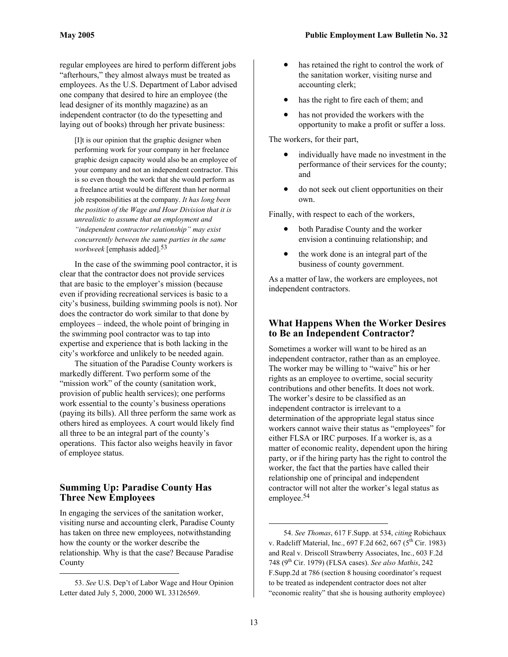<span id="page-12-1"></span>regular employees are hired to perform different jobs "afterhours," they almost always must be treated as employees. As the U.S. Department of Labor advised one company that desired to hire an employee (the lead designer of its monthly magazine) as an independent contractor (to do the typesetting and laying out of books) through her private business:

[I]t is our opinion that the graphic designer when performing work for your company in her freelance graphic design capacity would also be an employee of your company and not an independent contractor. This is so even though the work that she would perform as a freelance artist would be different than her normal job responsibilities at the company. *It has long been the position of the Wage and Hour Division that it is unrealistic to assume that an employment and "independent contractor relationship" may exist concurrently between the same parties in the same workweek* [emphasis added]. [53](#page-12-0)

In the case of the swimming pool contractor, it is clear that the contractor does not provide services that are basic to the employer's mission (because even if providing recreational services is basic to a city's business, building swimming pools is not). Nor does the contractor do work similar to that done by employees – indeed, the whole point of bringing in the swimming pool contractor was to tap into expertise and experience that is both lacking in the city's workforce and unlikely to be needed again.

The situation of the Paradise County workers is markedly different. Two perform some of the "mission work" of the county (sanitation work, provision of public health services); one performs work essential to the county's business operations (paying its bills). All three perform the same work as others hired as employees. A court would likely find all three to be an integral part of the county's operations. This factor also weighs heavily in favor of employee status.

#### **Summing Up: Paradise County Has Three New Employees**

In engaging the services of the sanitation worker, visiting nurse and accounting clerk, Paradise County has taken on three new employees, notwithstanding how the county or the worker describe the relationship. Why is that the case? Because Paradise County

 $\overline{a}$ 

- has retained the right to control the work of the sanitation worker, visiting nurse and accounting clerk;
- has the right to fire each of them; and
- has not provided the workers with the opportunity to make a profit or suffer a loss.

The workers, for their part,

- individually have made no investment in the performance of their services for the county; and
- do not seek out client opportunities on their own.

Finally, with respect to each of the workers,

- both Paradise County and the worker envision a continuing relationship; and
- the work done is an integral part of the business of county government.

As a matter of law, the workers are employees, not independent contractors.

#### **What Happens When the Worker Desires to Be an Independent Contractor?**

Sometimes a worker will want to be hired as an independent contractor, rather than as an employee. The worker may be willing to "waive" his or her rights as an employee to overtime, social security contributions and other benefits. It does not work. The worker's desire to be classified as an independent contractor is irrelevant to a determination of the appropriate legal status since workers cannot waive their status as "employees" for either FLSA or IRC purposes. If a worker is, as a matter of economic reality, dependent upon the hiring party, or if the hiring party has the right to control the worker, the fact that the parties have called their relationship one of principal and independent contractor will not alter the worker's legal status as employee.[54](#page-12-1) 

<span id="page-12-0"></span><sup>53.</sup> *See* U.S. Dep't of Labor Wage and Hour Opinion Letter dated July 5, 2000, 2000 WL 33126569.

<sup>54.</sup> *See Thomas*, 617 F.Supp. at 534, *citing* Robichaux v. Radcliff Material, Inc.,  $697$  F.2d  $662$ ,  $667$  ( $5<sup>th</sup>$  Cir. 1983) and Real v. Driscoll Strawberry Associates, Inc., 603 F.2d 748 (9th Cir. 1979) (FLSA cases). *See also Mathis*, 242 F.Supp.2d at 786 (section 8 housing coordinator's request to be treated as independent contractor does not alter "economic reality" that she is housing authority employee)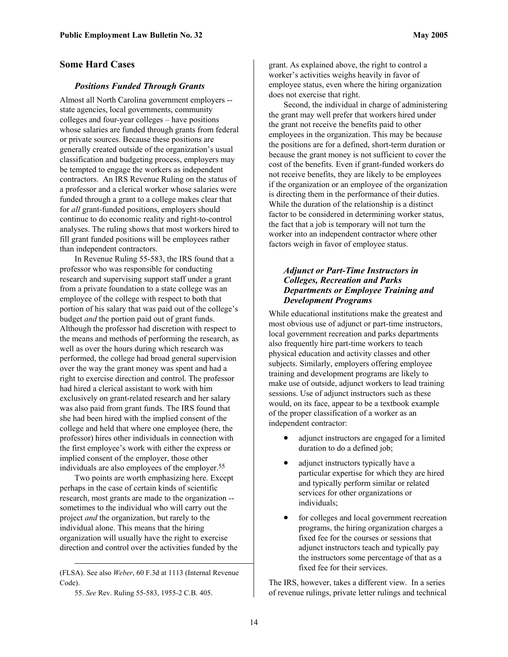#### **Some Hard Cases**

#### *Positions Funded Through Grants*

Almost all North Carolina government employers - state agencies, local governments, community colleges and four-year colleges – have positions whose salaries are funded through grants from federal or private sources. Because these positions are generally created outside of the organization's usual classification and budgeting process, employers may be tempted to engage the workers as independent contractors. An IRS Revenue Ruling on the status of a professor and a clerical worker whose salaries were funded through a grant to a college makes clear that for *all* grant-funded positions, employers should continue to do economic reality and right-to-control analyses. The ruling shows that most workers hired to fill grant funded positions will be employees rather than independent contractors.

In Revenue Ruling 55-583, the IRS found that a professor who was responsible for conducting research and supervising support staff under a grant from a private foundation to a state college was an employee of the college with respect to both that portion of his salary that was paid out of the college's budget *and* the portion paid out of grant funds. Although the professor had discretion with respect to the means and methods of performing the research, as well as over the hours during which research was performed, the college had broad general supervision over the way the grant money was spent and had a right to exercise direction and control. The professor had hired a clerical assistant to work with him exclusively on grant-related research and her salary was also paid from grant funds. The IRS found that she had been hired with the implied consent of the college and held that where one employee (here, the professor) hires other individuals in connection with the first employee's work with either the express or implied consent of the employer, those other individuals are also employees of the employer.<sup>55</sup>

Two points are worth emphasizing here. Except perhaps in the case of certain kinds of scientific research, most grants are made to the organization - sometimes to the individual who will carry out the project *and* the organization, but rarely to the individual alone. This means that the hiring organization will usually have the right to exercise direction and control over the activities funded by the

<span id="page-13-0"></span>55. *See* Rev. Ruling 55-583, 1955-2 C.B. 405.

1

grant. As explained above, the right to control a worker's activities weighs heavily in favor of employee status, even where the hiring organization does not exercise that right.

Second, the individual in charge of administering the grant may well prefer that workers hired under the grant not receive the benefits paid to other employees in the organization. This may be because the positions are for a defined, short-term duration or because the grant money is not sufficient to cover the cost of the benefits. Even if grant-funded workers do not receive benefits, they are likely to be employees if the organization or an employee of the organization is directing them in the performance of their duties. While the duration of the relationship is a distinct factor to be considered in determining worker status, the fact that a job is temporary will not turn the worker into an independent contractor where other factors weigh in favor of employee status.

#### *Adjunct or Part-Time Instructors in Colleges, Recreation and Parks Departments or Employee Training and Development Programs*

While educational institutions make the greatest and most obvious use of adjunct or part-time instructors, local government recreation and parks departments also frequently hire part-time workers to teach physical education and activity classes and other subjects. Similarly, employers offering employee training and development programs are likely to make use of outside, adjunct workers to lead training sessions. Use of adjunct instructors such as these would, on its face, appear to be a textbook example of the proper classification of a worker as an independent contractor:

- adjunct instructors are engaged for a limited duration to do a defined job;
- adjunct instructors typically have a particular expertise for which they are hired and typically perform similar or related services for other organizations or individuals;
- for colleges and local government recreation programs, the hiring organization charges a fixed fee for the courses or sessions that adjunct instructors teach and typically pay the instructors some percentage of that as a fixed fee for their services.

The IRS, however, takes a different view. In a series of revenue rulings, private letter rulings and technical

<sup>(</sup>FLSA). See also *Weber*, 60 F.3d at 1113 (Internal Revenue Code).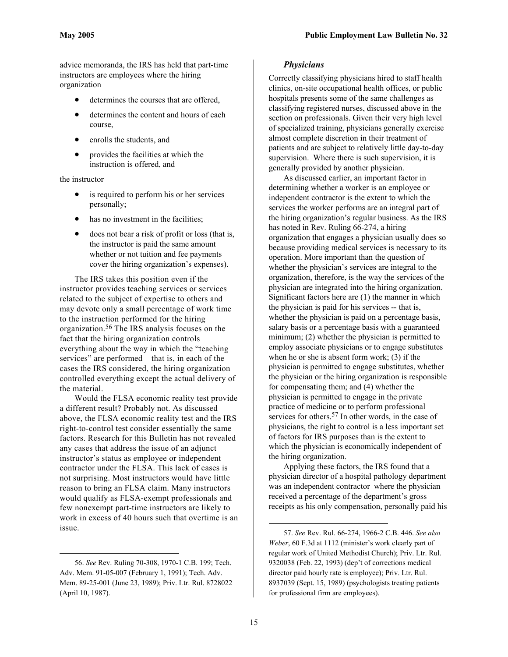advice memoranda, the IRS has held that part-time instructors are employees where the hiring organization

- determines the courses that are offered,
- determines the content and hours of each course,
- enrolls the students, and
- provides the facilities at which the instruction is offered, and

the instructor

- is required to perform his or her services personally;
- has no investment in the facilities;
- does not bear a risk of profit or loss (that is, the instructor is paid the same amount whether or not tuition and fee payments cover the hiring organization's expenses).

The IRS takes this position even if the instructor provides teaching services or services related to the subject of expertise to others and may devote only a small percentage of work time to the instruction performed for the hiring organization.[56](#page-14-0) The IRS analysis focuses on the fact that the hiring organization controls everything about the way in which the "teaching services" are performed – that is, in each of the cases the IRS considered, the hiring organization controlled everything except the actual delivery of the material.

Would the FLSA economic reality test provide a different result? Probably not. As discussed above, the FLSA economic reality test and the IRS right-to-control test consider essentially the same factors. Research for this Bulletin has not revealed any cases that address the issue of an adjunct instructor's status as employee or independent contractor under the FLSA. This lack of cases is not surprising. Most instructors would have little reason to bring an FLSA claim. Many instructors would qualify as FLSA-exempt professionals and few nonexempt part-time instructors are likely to work in excess of 40 hours such that overtime is an issue.

 $\overline{a}$ 

#### *Physicians*

Correctly classifying physicians hired to staff health clinics, on-site occupational health offices, or public hospitals presents some of the same challenges as classifying registered nurses, discussed above in the section on professionals. Given their very high level of specialized training, physicians generally exercise almost complete discretion in their treatment of patients and are subject to relatively little day-to-day supervision. Where there is such supervision, it is generally provided by another physician.

As discussed earlier, an important factor in determining whether a worker is an employee or independent contractor is the extent to which the services the worker performs are an integral part of the hiring organization's regular business. As the IRS has noted in Rev. Ruling 66-274, a hiring organization that engages a physician usually does so because providing medical services is necessary to its operation. More important than the question of whether the physician's services are integral to the organization, therefore, is the way the services of the physician are integrated into the hiring organization. Significant factors here are (1) the manner in which the physician is paid for his services -- that is, whether the physician is paid on a percentage basis, salary basis or a percentage basis with a guaranteed minimum; (2) whether the physician is permitted to employ associate physicians or to engage substitutes when he or she is absent form work; (3) if the physician is permitted to engage substitutes, whether the physician or the hiring organization is responsible for compensating them; and (4) whether the physician is permitted to engage in the private practice of medicine or to perform professional services for others.<sup>57</sup> In other words, in the case of physicians, the right to control is a less important set of factors for IRS purposes than is the extent to which the physician is economically independent of the hiring organization.

Applying these factors, the IRS found that a physician director of a hospital pathology department was an independent contractor where the physician received a percentage of the department's gross receipts as his only compensation, personally paid his

<span id="page-14-0"></span><sup>56.</sup> *See* Rev. Ruling 70-308, 1970-1 C.B. 199; Tech. Adv. Mem. 91-05-007 (February 1, 1991); Tech. Adv. Mem. 89-25-001 (June 23, 1989); Priv. Ltr. Rul. 8728022 (April 10, 1987).

<span id="page-14-1"></span><sup>57.</sup> *See* Rev. Rul. 66-274, 1966-2 C.B. 446. *See also Weber*, 60 F.3d at 1112 (minister's work clearly part of regular work of United Methodist Church); Priv. Ltr. Rul. 9320038 (Feb. 22, 1993) (dep't of corrections medical director paid hourly rate is employee); Priv. Ltr. Rul. 8937039 (Sept. 15, 1989) (psychologists treating patients for professional firm are employees).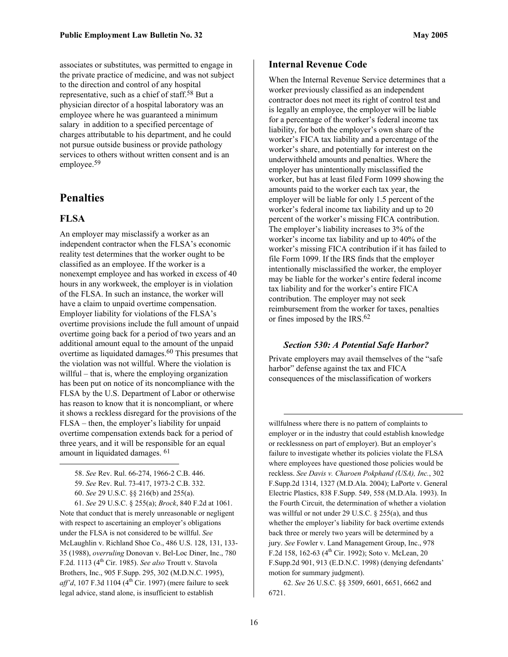associates or substitutes, was permitted to engage in the private practice of medicine, and was not subject to the direction and control of any hospital representative, such as a chief of staff.[58](#page-15-0) But a physician director of a hospital laboratory was an employee where he was guaranteed a minimum salary in addition to a specified percentage of charges attributable to his department, and he could not pursue outside business or provide pathology services to others without written consent and is an employee[.59](#page-15-1) 

#### **Penalties**

#### **FLSA**

 $\overline{a}$ 

An employer may misclassify a worker as an independent contractor when the FLSA's economic reality test determines that the worker ought to be classified as an employee. If the worker is a nonexempt employee and has worked in excess of 40 hours in any workweek, the employer is in violation of the FLSA. In such an instance, the worker will have a claim to unpaid overtime compensation. Employer liability for violations of the FLSA's overtime provisions include the full amount of unpaid overtime going back for a period of two years and an additional amount equal to the amount of the unpaid overtime as liquidated damages.<sup>60</sup> This presumes that the violation was not willful. Where the violation is willful – that is, where the employing organization has been put on notice of its noncompliance with the FLSA by the U.S. Department of Labor or otherwise has reason to know that it is noncompliant, or where it shows a reckless disregard for the provisions of the FLSA – then, the employer's liability for unpaid overtime compensation extends back for a period of three years, and it will be responsible for an equal amount in liquidated damages. [61](#page-15-3)

61. *See* 29 U.S.C. § 255(a); *Brock*, 840 F.2d at 1061. Note that conduct that is merely unreasonable or negligent with respect to ascertaining an employer's obligations under the FLSA is not considered to be willful. *See* McLaughlin v. Richland Shoe Co., 486 U.S. 128, 131, 133- 35 (1988), *overruling* Donovan v. Bel-Loc Diner, Inc., 780 F.2d. 1113 (4th Cir. 1985). *See also* Troutt v. Stavola Brothers, Inc., 905 F.Supp. 295, 302 (M.D.N.C. 1995),  $aff'd$ , 107 F.3d 1104 ( $4<sup>th</sup>$  Cir. 1997) (mere failure to seek legal advice, stand alone, is insufficient to establish

When the Internal Revenue Service determines that a worker previously classified as an independent contractor does not meet its right of control test and is legally an employee, the employer will be liable for a percentage of the worker's federal income tax liability, for both the employer's own share of the worker's FICA tax liability and a percentage of the worker's share, and potentially for interest on the underwithheld amounts and penalties. Where the employer has unintentionally misclassified the worker, but has at least filed Form 1099 showing the amounts paid to the worker each tax year, the employer will be liable for only 1.5 percent of the worker's federal income tax liability and up to 20 percent of the worker's missing FICA contribution. The employer's liability increases to 3% of the worker's income tax liability and up to 40% of the worker's missing FICA contribution if it has failed to file Form 1099. If the IRS finds that the employer intentionally misclassified the worker, the employer may be liable for the worker's entire federal income tax liability and for the worker's entire FICA contribution. The employer may not seek reimbursement from the worker for taxes, penalties or fines imposed by the IRS.[62](#page-15-4)

#### *Section 530: A Potential Safe Harbor?*

Private employers may avail themselves of the "safe harbor" defense against the tax and FICA consequences of the misclassification of workers

willfulness where there is no pattern of complaints to employer or in the industry that could establish knowledge or recklessness on part of employer). But an employer's failure to investigate whether its policies violate the FLSA where employees have questioned those policies would be reckless. *See Davis v. Charoen Pokphand (USA), Inc.*, 302 F.Supp.2d 1314, 1327 (M.D.Ala. 2004); LaPorte v. General Electric Plastics, 838 F.Supp. 549, 558 (M.D.Ala. 1993). In the Fourth Circuit, the determination of whether a violation was willful or not under 29 U.S.C. § 255(a), and thus whether the employer's liability for back overtime extends back three or merely two years will be determined by a jury. *See* Fowler v. Land Management Group, Inc., 978 F.2d 158, 162-63 ( $4^{th}$  Cir. 1992); Soto v. McLean, 20 F.Supp.2d 901, 913 (E.D.N.C. 1998) (denying defendants' motion for summary judgment).

<span id="page-15-4"></span>62. *See* 26 U.S.C. §§ 3509, 6601, 6651, 6662 and 6721.

<span id="page-15-0"></span><sup>58.</sup> *See* Rev. Rul. 66-274, 1966-2 C.B. 446.

<span id="page-15-1"></span><sup>59.</sup> *See* Rev. Rul. 73-417, 1973-2 C.B. 332.

<span id="page-15-3"></span><span id="page-15-2"></span><sup>60.</sup> *See* 29 U.S.C. §§ 216(b) and 255(a).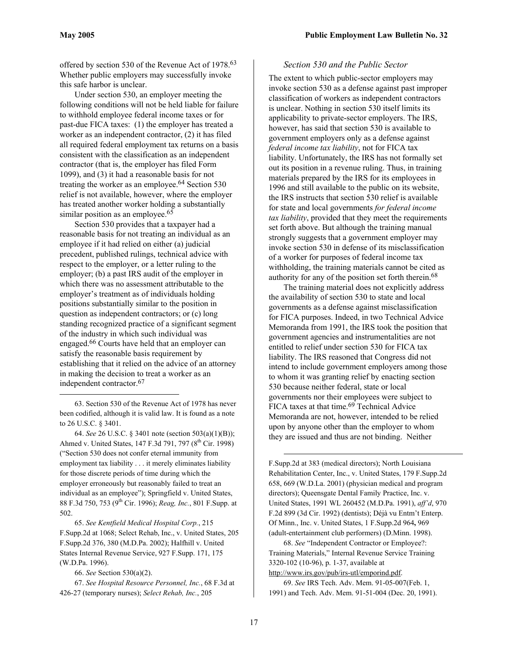1

offered by section 530 of the Revenue Act of 1978. [63](#page-16-0) Whether public employers may successfully invoke this safe harbor is unclear.

Under section 530, an employer meeting the following conditions will not be held liable for failure to withhold employee federal income taxes or for past-due FICA taxes: (1) the employer has treated a worker as an independent contractor, (2) it has filed all required federal employment tax returns on a basis consistent with the classification as an independent contractor (that is, the employer has filed Form 1099), and (3) it had a reasonable basis for not treating the worker as an employee.<sup>64</sup> Section 530 relief is not available, however, where the employer has treated another worker holding a substantially similar position as an employee.<sup>65</sup>

Section 530 provides that a taxpayer had a reasonable basis for not treating an individual as an employee if it had relied on either (a) judicial precedent, published rulings, technical advice with respect to the employer, or a letter ruling to the employer; (b) a past IRS audit of the employer in which there was no assessment attributable to the employer's treatment as of individuals holding positions substantially similar to the position in question as independent contractors; or (c) long standing recognized practice of a significant segment of the industry in which such individual was engaged.[66](#page-16-3) Courts have held that an employer can satisfy the reasonable basis requirement by establishing that it relied on the advice of an attorney in making the decision to treat a worker as an independent contractor. [67](#page-16-4)

<span id="page-16-0"></span>63. Section 530 of the Revenue Act of 1978 has never been codified, although it is valid law. It is found as a note to 26 U.S.C. § 3401.

<span id="page-16-1"></span>64. *See* 26 U.S.C. § 3401 note (section 503(a)(1)(B)); Ahmed v. United States, 147 F.3d 791, 797 (8<sup>th</sup> Cir. 1998) ("Section 530 does not confer eternal immunity from employment tax liability . . . it merely eliminates liability for those discrete periods of time during which the employer erroneously but reasonably failed to treat an individual as an employee"); Springfield v. United States, 88 F.3d 750, 753 (9th Cir. 1996); *Reag, Inc.*, 801 F.Supp. at 502.

<span id="page-16-2"></span>65. *See Kentfield Medical Hospital Corp.*, 215 F.Supp.2d at 1068; Select Rehab, Inc., v. United States, 205 F.Supp.2d 376, 380 (M.D.Pa. 2002); Halfhill v. United States Internal Revenue Service, 927 F.Supp. 171, 175 (W.D.Pa. 1996).

<span id="page-16-4"></span><span id="page-16-3"></span>66. *See* Section 530(a)(2).

#### *Section 530 and the Public Sector*

The extent to which public-sector employers may invoke section 530 as a defense against past improper classification of workers as independent contractors is unclear. Nothing in section 530 itself limits its applicability to private-sector employers. The IRS, however, has said that section 530 is available to government employers only as a defense against *federal income tax liability*, not for FICA tax liability. Unfortunately, the IRS has not formally set out its position in a revenue ruling. Thus, in training materials prepared by the IRS for its employees in 1996 and still available to the public on its website, the IRS instructs that section 530 relief is available for state and local governments *for federal income tax liability*, provided that they meet the requirements set forth above. But although the training manual strongly suggests that a government employer may invoke section 530 in defense of its misclassification of a worker for purposes of federal income tax withholding, the training materials cannot be cited as authority for any of the position set forth therein. [68](#page-16-5)

The training material does not explicitly address the availability of section 530 to state and local governments as a defense against misclassification for FICA purposes. Indeed, in two Technical Advice Memoranda from 1991, the IRS took the position that government agencies and instrumentalities are not entitled to relief under section 530 for FICA tax liability. The IRS reasoned that Congress did not intend to include government employers among those to whom it was granting relief by enacting section 530 because neither federal, state or local governments nor their employees were subject to FICA taxes at that time. [69](#page-16-6) Technical Advice Memoranda are not, however, intended to be relied upon by anyone other than the employer to whom they are issued and thus are not binding. Neither

F.Supp.2d at 383 (medical directors); North Louisiana Rehabilitation Center, Inc., v. United States, 179 F.Supp.2d 658, 669 (W.D.La. 2001) (physician medical and program directors); Queensgate Dental Family Practice, Inc. v. United States, 1991 WL 260452 (M.D.Pa. 1991), *aff'd*, 970 F.2d 899 (3d Cir. 1992) (dentists); Déjà vu Entm't Enterp. Of Minn., Inc. v. United States, 1 F.Supp.2d 964**,** 969 (adult-entertainment club performers) (D.Minn. 1998).

<span id="page-16-5"></span>68. *See* "Independent Contractor or Employee?: Training Materials," Internal Revenue Service Training 3320-102 (10-96), p. 1-37, available at http://www.irs.gov/pub/irs-utl/emporind.pdf.

<span id="page-16-6"></span>69. *See* IRS Tech. Adv. Mem. 91-05-007(Feb. 1, 1991) and Tech. Adv. Mem. 91-51-004 (Dec. 20, 1991).

<sup>67.</sup> *See Hospital Resource Personnel, Inc.*, 68 F.3d at 426-27 (temporary nurses); *Select Rehab, Inc.*, 205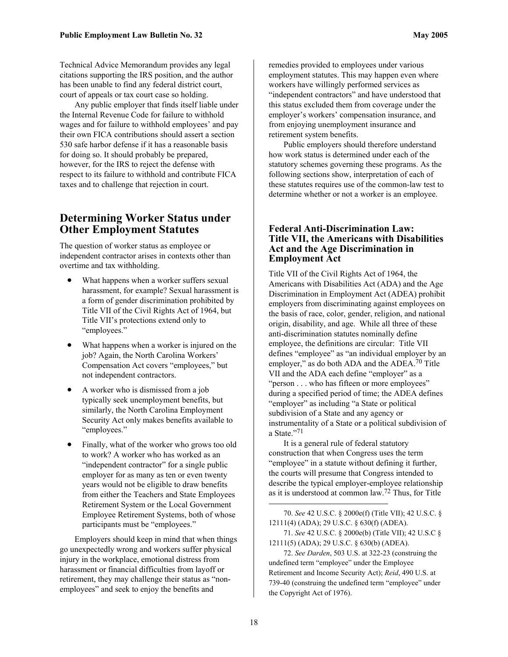Technical Advice Memorandum provides any legal citations supporting the IRS position, and the author has been unable to find any federal district court, court of appeals or tax court case so holding.

Any public employer that finds itself liable under the Internal Revenue Code for failure to withhold wages and for failure to withhold employees' and pay their own FICA contributions should assert a section 530 safe harbor defense if it has a reasonable basis for doing so. It should probably be prepared, however, for the IRS to reject the defense with respect to its failure to withhold and contribute FICA taxes and to challenge that rejection in court.

#### **Determining Worker Status under Other Employment Statutes**

The question of worker status as employee or independent contractor arises in contexts other than overtime and tax withholding.

- What happens when a worker suffers sexual harassment, for example? Sexual harassment is a form of gender discrimination prohibited by Title VII of the Civil Rights Act of 1964, but Title VII's protections extend only to "employees."
- What happens when a worker is injured on the job? Again, the North Carolina Workers' Compensation Act covers "employees," but not independent contractors.
- A worker who is dismissed from a job typically seek unemployment benefits, but similarly, the North Carolina Employment Security Act only makes benefits available to "employees."
- Finally, what of the worker who grows too old to work? A worker who has worked as an "independent contractor" for a single public employer for as many as ten or even twenty years would not be eligible to draw benefits from either the Teachers and State Employees Retirement System or the Local Government Employee Retirement Systems, both of whose participants must be "employees."

Employers should keep in mind that when things go unexpectedly wrong and workers suffer physical injury in the workplace, emotional distress from harassment or financial difficulties from layoff or retirement, they may challenge their status as "nonemployees" and seek to enjoy the benefits and

remedies provided to employees under various employment statutes. This may happen even where workers have willingly performed services as "independent contractors" and have understood that this status excluded them from coverage under the employer's workers' compensation insurance, and from enjoying unemployment insurance and retirement system benefits.

Public employers should therefore understand how work status is determined under each of the statutory schemes governing these programs. As the following sections show, interpretation of each of these statutes requires use of the common-law test to determine whether or not a worker is an employee.

#### **Federal Anti-Discrimination Law: Title VII, the Americans with Disabilities Act and the Age Discrimination in Employment Act**

Title VII of the Civil Rights Act of 1964, the Americans with Disabilities Act (ADA) and the Age Discrimination in Employment Act (ADEA) prohibit employers from discriminating against employees on the basis of race, color, gender, religion, and national origin, disability, and age. While all three of these anti-discrimination statutes nominally define employee, the definitions are circular: Title VII defines "employee" as "an individual employer by an employer," as do both ADA and the ADEA.<sup>70</sup> Title VII and the ADA each define "employer" as a "person . . . who has fifteen or more employees" during a specified period of time; the ADEA defines "employer" as including "a State or political subdivision of a State and any agency or instrumentality of a State or a political subdivision of a State."[71](#page-17-1) 

It is a general rule of federal statutory construction that when Congress uses the term "employee" in a statute without defining it further, the courts will presume that Congress intended to describe the typical employer-employee relationship as it is understood at common law.[72 T](#page-17-2)hus, for Title

<span id="page-17-0"></span>70. *See* 42 U.S.C. § 2000e(f) (Title VII); 42 U.S.C. § 12111(4) (ADA); 29 U.S.C. § 630(f) (ADEA).

```
71. See 42 U.S.C. § 2000e(b) (Title VII); 42 U.S.C § 
12111(5) (ADA); 29 U.S.C. § 630(b) (ADEA).
```
<span id="page-17-2"></span>72. *See Darden*, 503 U.S. at 322-23 (construing the undefined term "employee" under the Employee Retirement and Income Security Act); *Reid*, 490 U.S. at 739-40 (construing the undefined term "employee" under the Copyright Act of 1976).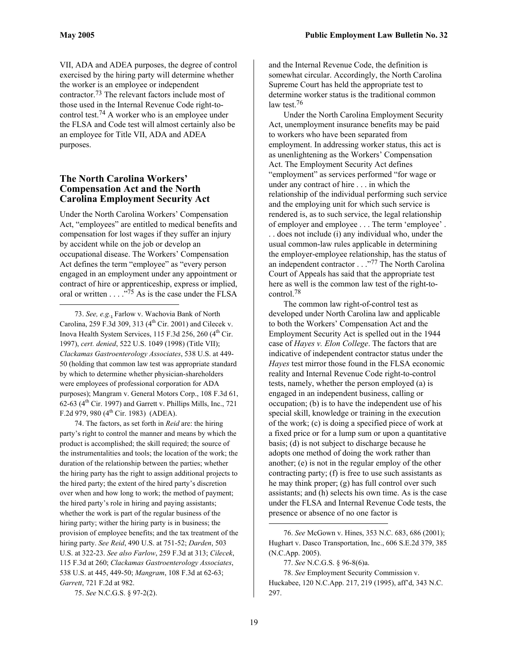1

VII, ADA and ADEA purposes, the degree of control exercised by the hiring party will determine whether the worker is an employee or independent contractor. [73](#page-18-0) The relevant factors include most of those used in the Internal Revenue Code right-tocontrol test[.74](#page-18-1) A worker who is an employee under the FLSA and Code test will almost certainly also be an employee for Title VII, ADA and ADEA purposes.

#### **The North Carolina Workers' Compensation Act and the North Carolina Employment Security Act**

Under the North Carolina Workers' Compensation Act, "employees" are entitled to medical benefits and compensation for lost wages if they suffer an injury by accident while on the job or develop an occupational disease. The Workers' Compensation Act defines the term "employee" as "every person engaged in an employment under any appointment or contract of hire or apprenticeship, express or implied, oral or written . . . ."[75](#page-18-2) As is the case under the FLSA

<span id="page-18-0"></span>73. *See, e.g.*, Farlow v. Wachovia Bank of North Carolina, 259 F.3d 309, 313 ( $4<sup>th</sup>$  Cir. 2001) and Cilecek v. Inova Health System Services,  $115$  F.3d 256, 260 ( $4<sup>th</sup>$  Cir. 1997), *cert. denied*, 522 U.S. 1049 (1998) (Title VII); *Clackamas Gastroenterology Associates*, 538 U.S. at 449- 50 (holding that common law test was appropriate standard by which to determine whether physician-shareholders were employees of professional corporation for ADA purposes); Mangram v. General Motors Corp., 108 F.3d 61, 62-63 ( $4<sup>th</sup>$  Cir. 1997) and Garrett v. Phillips Mills, Inc., 721 F.2d 979, 980 ( $4^{\text{th}}$  Cir. 1983) (ADEA).

<span id="page-18-1"></span>74. The factors, as set forth in *Reid* are: the hiring party's right to control the manner and means by which the product is accomplished; the skill required; the source of the instrumentalities and tools; the location of the work; the duration of the relationship between the parties; whether the hiring party has the right to assign additional projects to the hired party; the extent of the hired party's discretion over when and how long to work; the method of payment; the hired party's role in hiring and paying assistants; whether the work is part of the regular business of the hiring party; wither the hiring party is in business; the provision of employee benefits; and the tax treatment of the hiring party. *See Reid*, 490 U.S. at 751-52; *Darden*, 503 U.S. at 322-23. *See also Farlow*, 259 F.3d at 313; *Cilecek*, 115 F.3d at 260; *Clackamas Gastroenterology Associates*, 538 U.S. at 445, 449-50; *Mangram*, 108 F.3d at 62-63; *Garrett*, 721 F.2d at 982.

<span id="page-18-2"></span>75. *See* N.C.G.S. § 97-2(2).

and the Internal Revenue Code, the definition is somewhat circular. Accordingly, the North Carolina Supreme Court has held the appropriate test to determine worker status is the traditional common law test.<sup>[76](#page-18-3)</sup>

Under the North Carolina Employment Security Act, unemployment insurance benefits may be paid to workers who have been separated from employment. In addressing worker status, this act is as unenlightening as the Workers' Compensation Act. The Employment Security Act defines "employment" as services performed "for wage or under any contract of hire . . . in which the relationship of the individual performing such service and the employing unit for which such service is rendered is, as to such service, the legal relationship of employer and employee . . . The term 'employee' . . . does not include (i) any individual who, under the usual common-law rules applicable in determining the employer-employee relationship, has the status of an independent contractor . . ."[77 T](#page-18-4)he North Carolina Court of Appeals has said that the appropriate test here as well is the common law test of the right-tocontrol. [78](#page-18-5)

The common law right-of-control test as developed under North Carolina law and applicable to both the Workers' Compensation Act and the Employment Security Act is spelled out in the 1944 case of *Hayes v. Elon College*. The factors that are indicative of independent contractor status under the *Hayes* test mirror those found in the FLSA economic reality and Internal Revenue Code right-to-control tests, namely, whether the person employed (a) is engaged in an independent business, calling or occupation; (b) is to have the independent use of his special skill, knowledge or training in the execution of the work; (c) is doing a specified piece of work at a fixed price or for a lump sum or upon a quantitative basis; (d) is not subject to discharge because he adopts one method of doing the work rather than another; (e) is not in the regular employ of the other contracting party; (f) is free to use such assistants as he may think proper; (g) has full control over such assistants; and (h) selects his own time. As is the case under the FLSA and Internal Revenue Code tests, the presence or absence of no one factor is

<span id="page-18-3"></span><sup>76.</sup> *See* McGown v. Hines, 353 N.C. 683, 686 (2001); Hughart v. Dasco Transportation, Inc., 606 S.E.2d 379, 385 (N.C.App. 2005).

<span id="page-18-5"></span><span id="page-18-4"></span><sup>77.</sup> *See* N.C.G.S. § 96-8(6)a.

<sup>78.</sup> *See* Employment Security Commission v. Huckabee, 120 N.C.App. 217, 219 (1995), aff'd, 343 N.C. 297.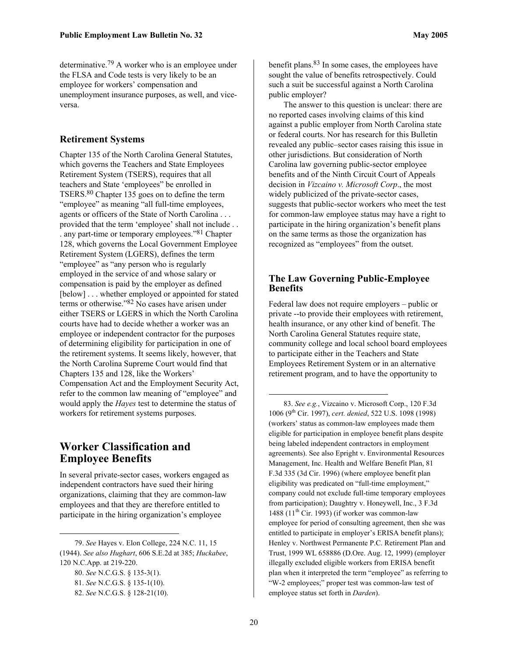determinative.[79](#page-19-0) A worker who is an employee under the FLSA and Code tests is very likely to be an employee for workers' compensation and unemployment insurance purposes, as well, and viceversa.

#### **Retirement Systems**

Chapter 135 of the North Carolina General Statutes, which governs the Teachers and State Employees Retirement System (TSERS), requires that all teachers and State 'employees" be enrolled in TSERS[.80](#page-19-1) Chapter 135 goes on to define the term "employee" as meaning "all full-time employees, agents or officers of the State of North Carolina . . . provided that the term 'employee' shall not include . . . any part-time or temporary employees.["81](#page-19-2) Chapter 128, which governs the Local Government Employee Retirement System (LGERS), defines the term "employee" as "any person who is regularly employed in the service of and whose salary or compensation is paid by the employer as defined [below] . . . whether employed or appointed for stated terms or otherwise."[82](#page-19-3) No cases have arisen under either TSERS or LGERS in which the North Carolina courts have had to decide whether a worker was an employee or independent contractor for the purposes of determining eligibility for participation in one of the retirement systems. It seems likely, however, that the North Carolina Supreme Court would find that Chapters 135 and 128, like the Workers' Compensation Act and the Employment Security Act, refer to the common law meaning of "employee" and would apply the *Hayes* test to determine the status of workers for retirement systems purposes.

#### **Worker Classification and Employee Benefits**

In several private-sector cases, workers engaged as independent contractors have sued their hiring organizations, claiming that they are common-law employees and that they are therefore entitled to participate in the hiring organization's employee

 $\overline{a}$ 

benefit plans.<sup>83</sup> In some cases, the employees have sought the value of benefits retrospectively. Could such a suit be successful against a North Carolina public employer?

The answer to this question is unclear: there are no reported cases involving claims of this kind against a public employer from North Carolina state or federal courts. Nor has research for this Bulletin revealed any public–sector cases raising this issue in other jurisdictions. But consideration of North Carolina law governing public-sector employee benefits and of the Ninth Circuit Court of Appeals decision in *Vizcaino v. Microsoft Corp*., the most widely publicized of the private-sector cases, suggests that public-sector workers who meet the test for common-law employee status may have a right to participate in the hiring organization's benefit plans on the same terms as those the organization has recognized as "employees" from the outset.

#### **The Law Governing Public-Employee Benefits**

Federal law does not require employers – public or private --to provide their employees with retirement, health insurance, or any other kind of benefit. The North Carolina General Statutes require state, community college and local school board employees to participate either in the Teachers and State Employees Retirement System or in an alternative retirement program, and to have the opportunity to

<span id="page-19-4"></span>83. *See e.g.*, Vizcaino v. Microsoft Corp., 120 F.3d 1006 (9th Cir. 1997), *cert. denied*, 522 U.S. 1098 (1998) (workers' status as common-law employees made them eligible for participation in employee benefit plans despite being labeled independent contractors in employment agreements). See also Epright v. Environmental Resources Management, Inc. Health and Welfare Benefit Plan, 81 F.3d 335 (3d Cir. 1996) (where employee benefit plan eligibility was predicated on "full-time employment," company could not exclude full-time temporary employees from participation); Daughtry v. Honeywell, Inc., 3 F.3d 1488 (11<sup>th</sup> Cir. 1993) (if worker was common-law employee for period of consulting agreement, then she was entitled to participate in employer's ERISA benefit plans); Henley v. Northwest Permanente P.C. Retirement Plan and Trust, 1999 WL 658886 (D.Ore. Aug. 12, 1999) (employer illegally excluded eligible workers from ERISA benefit plan when it interpreted the term "employee" as referring to "W-2 employees;" proper test was common-law test of employee status set forth in *Darden*).

<span id="page-19-0"></span><sup>79.</sup> *See* Hayes v. Elon College, 224 N.C. 11, 15 (1944). *See also Hughart*, 606 S.E.2d at 385; *Huckabee*, 120 N.C.App. at 219-220.

<span id="page-19-1"></span><sup>80.</sup> *See* N.C.G.S. § 135-3(1).

<span id="page-19-2"></span><sup>81.</sup> *See* N.C.G.S. § 135-1(10).

<span id="page-19-3"></span><sup>82.</sup> *See* N.C.G.S. § 128-21(10).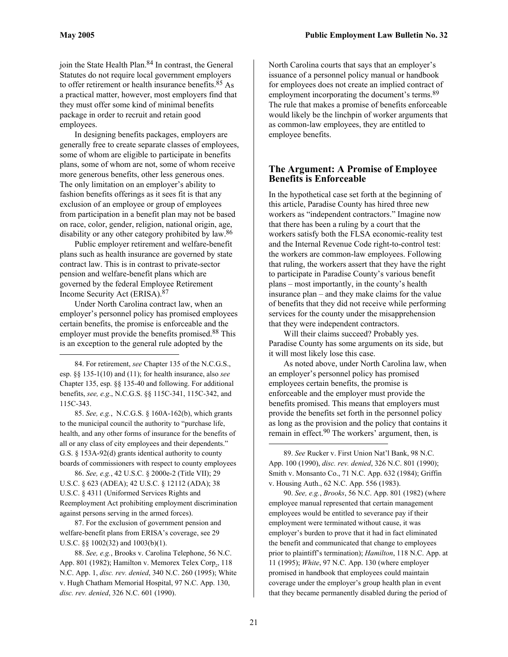1

<span id="page-20-6"></span>join the State Health Plan. [84](#page-20-0) In contrast, the General Statutes do not require local government employers to offer retirement or health insurance benefits. [85](#page-20-1) As a practical matter, however, most employers find that they must offer some kind of minimal benefits package in order to recruit and retain good employees.

In designing benefits packages, employers are generally free to create separate classes of employees, some of whom are eligible to participate in benefits plans, some of whom are not, some of whom receive more generous benefits, other less generous ones. The only limitation on an employer's ability to fashion benefits offerings as it sees fit is that any exclusion of an employee or group of employees from participation in a benefit plan may not be based on race, color, gender, religion, national origin, age, disability or any other category prohibited by law.<sup>86</sup>

Public employer retirement and welfare-benefit plans such as health insurance are governed by state contract law. This is in contrast to private-sector pension and welfare-benefit plans which are governed by the federal Employee Retirement Income Security Act (ERISA). [87](#page-20-3)

Under North Carolina contract law, when an employer's personnel policy has promised employees certain benefits, the promise is enforceable and the employer must provide the benefits promised.<sup>88</sup> This is an exception to the general rule adopted by the

<span id="page-20-0"></span>84. For retirement, *see* Chapter 135 of the N.C.G.S., esp. §§ 135-1(10) and (11); for health insurance, also *see* Chapter 135, esp. §§ 135-40 and following. For additional benefits, *see, e.g*., N.C.G.S. §§ 115C-341, 115C-342, and 115C-343.

<span id="page-20-1"></span>85. *See, e.g.*, N.C.G.S. § 160A-162(b), which grants to the municipal council the authority to "purchase life, health, and any other forms of insurance for the benefits of all or any class of city employees and their dependents." G.S. § 153A-92(d) grants identical authority to county boards of commissioners with respect to county employees

<span id="page-20-2"></span>86. *See, e.g.*, 42 U.S.C. § 2000e-2 (Title VII); 29 U.S.C. § 623 (ADEA); 42 U.S.C. § 12112 (ADA); 38 U.S.C. § 4311 (Uniformed Services Rights and Reemployment Act prohibiting employment discrimination against persons serving in the armed forces).

<span id="page-20-3"></span>87. For the exclusion of government pension and welfare-benefit plans from ERISA's coverage, see 29 U.S.C. §§ 1002(32) and 1003(b)(1).

<span id="page-20-4"></span>88. *See, e.g.*, Brooks v. Carolina Telephone, 56 N.C. App. 801 (1982); Hamilton v. Memorex Telex Corp., 118 N.C. App. 1, *disc. rev. denied*, 340 N.C. 260 (1995); White v. Hugh Chatham Memorial Hospital, 97 N.C. App. 130, *disc. rev. denied*, 326 N.C. 601 (1990).

North Carolina courts that says that an employer's issuance of a personnel policy manual or handbook for employees does not create an implied contract of employment incorporating the document's terms.<sup>[89](#page-20-5)</sup> The rule that makes a promise of benefits enforceable would likely be the linchpin of worker arguments that as common-law employees, they are entitled to employee benefits.

#### **The Argument: A Promise of Employee Benefits is Enforceable**

In the hypothetical case set forth at the beginning of this article, Paradise County has hired three new workers as "independent contractors." Imagine now that there has been a ruling by a court that the workers satisfy both the FLSA economic-reality test and the Internal Revenue Code right-to-control test: the workers are common-law employees. Following that ruling, the workers assert that they have the right to participate in Paradise County's various benefit plans – most importantly, in the county's health insurance plan – and they make claims for the value of benefits that they did not receive while performing services for the county under the misapprehension that they were independent contractors.

Will their claims succeed? Probably yes. Paradise County has some arguments on its side, but it will most likely lose this case.

As noted above, under North Carolina law, when an employer's personnel policy has promised employees certain benefits, the promise is enforceable and the employer must provide the benefits promised. This means that employers must provide the benefits set forth in the personnel policy as long as the provision and the policy that contains it remain in effect. [90](#page-20-6) The workers' argument, then, is

<span id="page-20-5"></span>89. *See* Rucker v. First Union Nat'l Bank, 98 N.C. App. 100 (1990), *disc. rev. denied*, 326 N.C. 801 (1990); Smith v. Monsanto Co., 71 N.C. App. 632 (1984); Griffin v. Housing Auth., 62 N.C. App. 556 (1983).

90. *See, e.g.*, *Brooks*, 56 N.C. App. 801 (1982) (where employee manual represented that certain management employees would be entitled to severance pay if their employment were terminated without cause, it was employer's burden to prove that it had in fact eliminated the benefit and communicated that change to employees prior to plaintiff's termination); *Hamilton*, 118 N.C. App. at 11 (1995); *White*, 97 N.C. App. 130 (where employer promised in handbook that employees could maintain coverage under the employer's group health plan in event that they became permanently disabled during the period of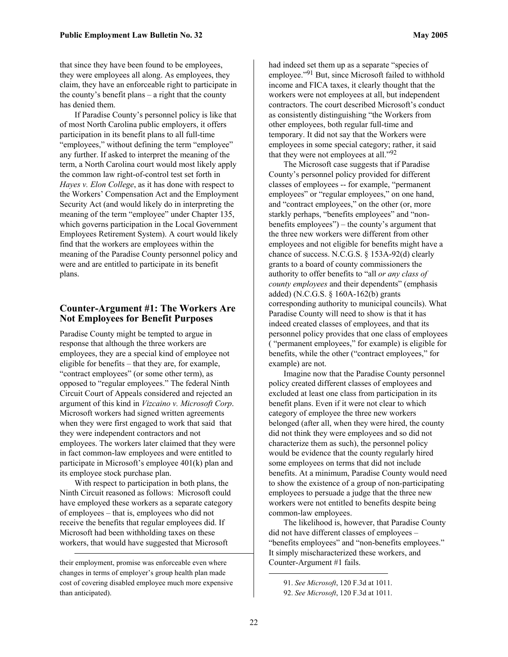that since they have been found to be employees, they were employees all along. As employees, they claim, they have an enforceable right to participate in the county's benefit plans – a right that the county has denied them.

If Paradise County's personnel policy is like that of most North Carolina public employers, it offers participation in its benefit plans to all full-time "employees," without defining the term "employee" any further. If asked to interpret the meaning of the term, a North Carolina court would most likely apply the common law right-of-control test set forth in *Hayes v. Elon College*, as it has done with respect to the Workers' Compensation Act and the Employment Security Act (and would likely do in interpreting the meaning of the term "employee" under Chapter 135, which governs participation in the Local Government Employees Retirement System). A court would likely find that the workers are employees within the meaning of the Paradise County personnel policy and were and are entitled to participate in its benefit plans.

#### **Counter-Argument #1: The Workers Are Not Employees for Benefit Purposes**

Paradise County might be tempted to argue in response that although the three workers are employees, they are a special kind of employee not eligible for benefits – that they are, for example, "contract employees" (or some other term), as opposed to "regular employees." The federal Ninth Circuit Court of Appeals considered and rejected an argument of this kind in *Vizcaino v. Microsoft Corp*. Microsoft workers had signed written agreements when they were first engaged to work that said that they were independent contractors and not employees. The workers later claimed that they were in fact common-law employees and were entitled to participate in Microsoft's employee 401(k) plan and its employee stock purchase plan.

With respect to participation in both plans, the Ninth Circuit reasoned as follows: Microsoft could have employed these workers as a separate category of employees – that is, employees who did not receive the benefits that regular employees did. If Microsoft had been withholding taxes on these workers, that would have suggested that Microsoft

 $\overline{a}$ 

had indeed set them up as a separate "species of employee."[91](#page-21-0) But, since Microsoft failed to withhold income and FICA taxes, it clearly thought that the workers were not employees at all, but independent contractors. The court described Microsoft's conduct as consistently distinguishing "the Workers from other employees, both regular full-time and temporary. It did not say that the Workers were employees in some special category; rather, it said that they were not employees at all."[92](#page-21-1)

The Microsoft case suggests that if Paradise County's personnel policy provided for different classes of employees -- for example, "permanent employees" or "regular employees," on one hand, and "contract employees," on the other (or, more starkly perhaps, "benefits employees" and "nonbenefits employees") – the county's argument that the three new workers were different from other employees and not eligible for benefits might have a chance of success. N.C.G.S. § 153A-92(d) clearly grants to a board of county commissioners the authority to offer benefits to "all *or any class of county employees* and their dependents" (emphasis added) (N.C.G.S. § 160A-162(b) grants corresponding authority to municipal councils). What Paradise County will need to show is that it has indeed created classes of employees, and that its personnel policy provides that one class of employees ( "permanent employees," for example) is eligible for benefits, while the other ("contract employees," for example) are not.

Imagine now that the Paradise County personnel policy created different classes of employees and excluded at least one class from participation in its benefit plans. Even if it were not clear to which category of employee the three new workers belonged (after all, when they were hired, the county did not think they were employees and so did not characterize them as such), the personnel policy would be evidence that the county regularly hired some employees on terms that did not include benefits. At a minimum, Paradise County would need to show the existence of a group of non-participating employees to persuade a judge that the three new workers were not entitled to benefits despite being common-law employees.

The likelihood is, however, that Paradise County did not have different classes of employees – "benefits employees" and "non-benefits employees." It simply mischaracterized these workers, and Counter-Argument #1 fails.

their employment, promise was enforceable even where changes in terms of employer's group health plan made cost of covering disabled employee much more expensive than anticipated).

<span id="page-21-0"></span><sup>91.</sup> *See Microsoft*, 120 F.3d at 1011.

<span id="page-21-1"></span><sup>92.</sup> *See Microsoft*, 120 F.3d at 1011.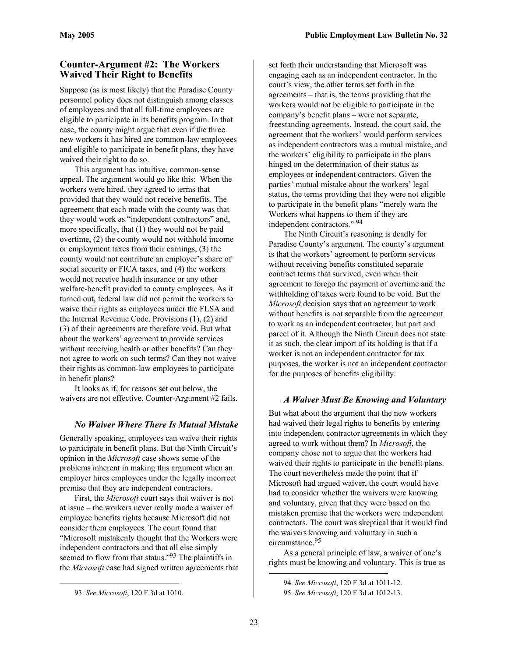#### **Counter-Argument #2: The Workers Waived Their Right to Benefits**

Suppose (as is most likely) that the Paradise County personnel policy does not distinguish among classes of employees and that all full-time employees are eligible to participate in its benefits program. In that case, the county might argue that even if the three new workers it has hired are common-law employees and eligible to participate in benefit plans, they have waived their right to do so.

This argument has intuitive, common-sense appeal. The argument would go like this: When the workers were hired, they agreed to terms that provided that they would not receive benefits. The agreement that each made with the county was that they would work as "independent contractors" and, more specifically, that (1) they would not be paid overtime, (2) the county would not withhold income or employment taxes from their earnings, (3) the county would not contribute an employer's share of social security or FICA taxes, and (4) the workers would not receive health insurance or any other welfare-benefit provided to county employees. As it turned out, federal law did not permit the workers to waive their rights as employees under the FLSA and the Internal Revenue Code. Provisions (1), (2) and (3) of their agreements are therefore void. But what about the workers' agreement to provide services without receiving health or other benefits? Can they not agree to work on such terms? Can they not waive their rights as common-law employees to participate in benefit plans?

It looks as if, for reasons set out below, the waivers are not effective. Counter-Argument #2 fails.

#### *No Waiver Where There Is Mutual Mistake*

Generally speaking, employees can waive their rights to participate in benefit plans. But the Ninth Circuit's opinion in the *Microsoft* case shows some of the problems inherent in making this argument when an employer hires employees under the legally incorrect premise that they are independent contractors.

First, the *Microsoft* court says that waiver is not at issue – the workers never really made a waiver of employee benefits rights because Microsoft did not consider them employees. The court found that "Microsoft mistakenly thought that the Workers were independent contractors and that all else simply seemed to flow from that status."<sup>93</sup> The plaintiffs in the *Microsoft* case had signed written agreements that

 $\overline{a}$ 

set forth their understanding that Microsoft was engaging each as an independent contractor. In the court's view, the other terms set forth in the agreements – that is, the terms providing that the workers would not be eligible to participate in the company's benefit plans – were not separate, freestanding agreements. Instead, the court said, the agreement that the workers' would perform services as independent contractors was a mutual mistake, and the workers' eligibility to participate in the plans hinged on the determination of their status as employees or independent contractors. Given the parties' mutual mistake about the workers' legal status, the terms providing that they were not eligible to participate in the benefit plans "merely warn the Workers what happens to them if they are independent contractors." [94](#page-22-1)

The Ninth Circuit's reasoning is deadly for Paradise County's argument. The county's argument is that the workers' agreement to perform services without receiving benefits constituted separate contract terms that survived, even when their agreement to forego the payment of overtime and the withholding of taxes were found to be void. But the *Microsoft* decision says that an agreement to work without benefits is not separable from the agreement to work as an independent contractor, but part and parcel of it. Although the Ninth Circuit does not state it as such, the clear import of its holding is that if a worker is not an independent contractor for tax purposes, the worker is not an independent contractor for the purposes of benefits eligibility.

#### *A Waiver Must Be Knowing and Voluntary*

But what about the argument that the new workers had waived their legal rights to benefits by entering into independent contractor agreements in which they agreed to work without them? In *Microsoft*, the company chose not to argue that the workers had waived their rights to participate in the benefit plans. The court nevertheless made the point that if Microsoft had argued waiver, the court would have had to consider whether the waivers were knowing and voluntary, given that they were based on the mistaken premise that the workers were independent contractors. The court was skeptical that it would find the waivers knowing and voluntary in such a circumstance.[95](#page-22-2) 

As a general principle of law, a waiver of one's rights must be knowing and voluntary. This is true as

<span id="page-22-0"></span><sup>93.</sup> *See Microsoft*, 120 F.3d at 1010.

<span id="page-22-1"></span><sup>94.</sup> *See Microsoft*, 120 F.3d at 1011-12.

<span id="page-22-2"></span><sup>95.</sup> *See Microsoft*, 120 F.3d at 1012-13.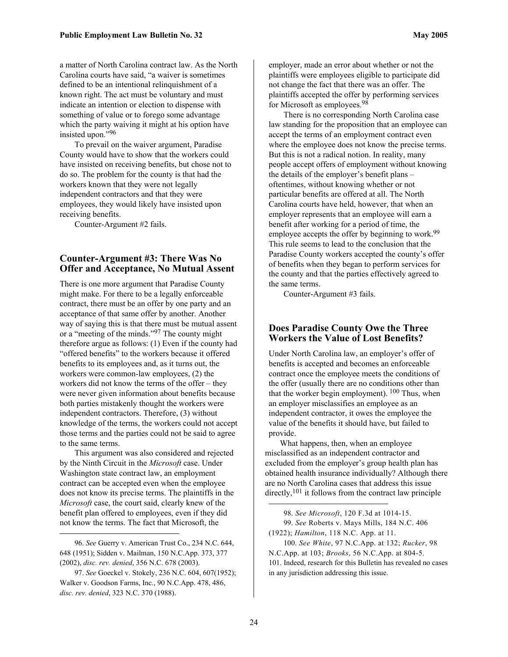a matter of North Carolina contract law. As the North Carolina courts have said, "a waiver is sometimes defined to be an intentional relinquishment of a known right. The act must be voluntary and must indicate an intention or election to dispense with something of value or to forego some advantage which the party waiving it might at his option have insisted upon.["96](#page-23-0) 

To prevail on the waiver argument, Paradise County would have to show that the workers could have insisted on receiving benefits, but chose not to do so. The problem for the county is that had the workers known that they were not legally independent contractors and that they were employees, they would likely have insisted upon receiving benefits.

Counter-Argument #2 fails.

#### **Counter-Argument #3: There Was No Offer and Acceptance, No Mutual Assent**

There is one more argument that Paradise County might make. For there to be a legally enforceable contract, there must be an offer by one party and an acceptance of that same offer by another. Another way of saying this is that there must be mutual assent or a "meeting of the minds."[97](#page-23-1) The county might therefore argue as follows: (1) Even if the county had "offered benefits" to the workers because it offered benefits to its employees and, as it turns out, the workers were common-law employees, (2) the workers did not know the terms of the offer – they were never given information about benefits because both parties mistakenly thought the workers were independent contractors. Therefore, (3) without knowledge of the terms, the workers could not accept those terms and the parties could not be said to agree to the same terms.

This argument was also considered and rejected by the Ninth Circuit in the *Microsoft* case. Under Washington state contract law, an employment contract can be accepted even when the employee does not know its precise terms. The plaintiffs in the *Microsoft* case, the court said, clearly knew of the benefit plan offered to employees, even if they did not know the terms. The fact that Microsoft, the

 $\overline{a}$ 

employer, made an error about whether or not the plaintiffs were employees eligible to participate did not change the fact that there was an offer. The plaintiffs accepted the offer by performing services for Microsoft as employees.<sup>[98](#page-23-2)</sup>

There is no corresponding North Carolina case law standing for the proposition that an employee can accept the terms of an employment contract even where the employee does not know the precise terms. But this is not a radical notion. In reality, many people accept offers of employment without knowing the details of the employer's benefit plans – oftentimes, without knowing whether or not particular benefits are offered at all. The North Carolina courts have held, however, that when an employer represents that an employee will earn a benefit after working for a period of time, the employee accepts the offer by beginning to work.<sup>[99](#page-23-3)</sup> This rule seems to lead to the conclusion that the Paradise County workers accepted the county's offer of benefits when they began to perform services for the county and that the parties effectively agreed to the same terms.

Counter-Argument #3 fails.

#### **Does Paradise County Owe the Three Workers the Value of Lost Benefits?**

Under North Carolina law, an employer's offer of benefits is accepted and becomes an enforceable contract once the employee meets the conditions of the offer (usually there are no conditions other than that the worker begin employment).  $100$  Thus, when an employer misclassifies an employee as an independent contractor, it owes the employee the value of the benefits it should have, but failed to provide.

What happens, then, when an employee misclassified as an independent contractor and excluded from the employer's group health plan has obtained health insurance individually? Although there are no North Carolina cases that address this issue directly,<sup>101</sup> it follows from the contract law principle

<span id="page-23-5"></span><span id="page-23-4"></span><span id="page-23-3"></span><span id="page-23-2"></span> $\overline{a}$ 98. *See Microsoft*, 120 F.3d at 1014-15. 99. *See* Roberts v. Mays Mills, 184 N.C. 406 (1922); *Hamilton*, 118 N.C. App. at 11. 100. *See White*, 97 N.C.App. at 132; *Rucker*, 98 N.C.App. at 103; *Brooks*, 56 N.C.App. at 804-5. 101. Indeed, research for this Bulletin has revealed no cases in any jurisdiction addressing this issue.

<span id="page-23-0"></span><sup>96.</sup> *See* Guerry v. American Trust Co., 234 N.C. 644, 648 (1951); Sidden v. Mailman, 150 N.C.App. 373, 377 (2002), *disc. rev. denied*, 356 N.C. 678 (2003).

<span id="page-23-1"></span><sup>97.</sup> *See* Goeckel v. Stokely, 236 N.C. 604, 607(1952); Walker v. Goodson Farms, Inc., 90 N.C.App. 478, 486, *disc. rev. denied*, 323 N.C. 370 (1988).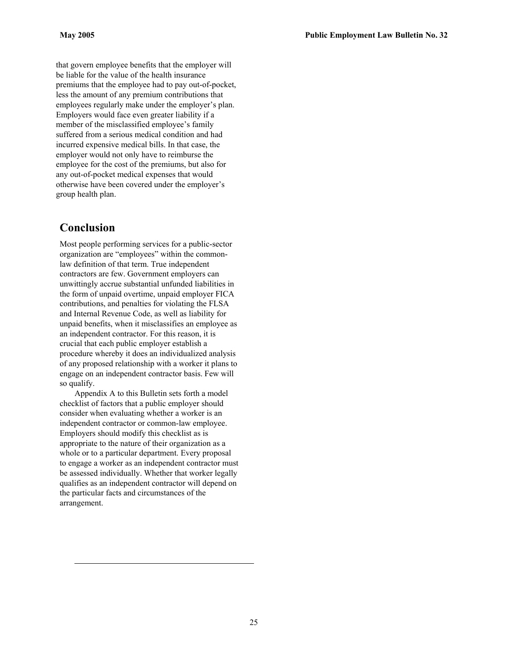that govern employee benefits that the employer will be liable for the value of the health insurance premiums that the employee had to pay out-of-pocket, less the amount of any premium contributions that employees regularly make under the employer's plan. Employers would face even greater liability if a member of the misclassified employee's family suffered from a serious medical condition and had incurred expensive medical bills. In that case, the employer would not only have to reimburse the employee for the cost of the premiums, but also for any out-of-pocket medical expenses that would otherwise have been covered under the employer's group health plan.

## **Conclusion**

 $\overline{a}$ 

Most people performing services for a public-sector organization are "employees" within the commonlaw definition of that term. True independent contractors are few. Government employers can unwittingly accrue substantial unfunded liabilities in the form of unpaid overtime, unpaid employer FICA contributions, and penalties for violating the FLSA and Internal Revenue Code, as well as liability for unpaid benefits, when it misclassifies an employee as an independent contractor. For this reason, it is crucial that each public employer establish a procedure whereby it does an individualized analysis of any proposed relationship with a worker it plans to engage on an independent contractor basis. Few will so qualify.

Appendix A to this Bulletin sets forth a model checklist of factors that a public employer should consider when evaluating whether a worker is an independent contractor or common-law employee. Employers should modify this checklist as is appropriate to the nature of their organization as a whole or to a particular department. Every proposal to engage a worker as an independent contractor must be assessed individually. Whether that worker legally qualifies as an independent contractor will depend on the particular facts and circumstances of the arrangement.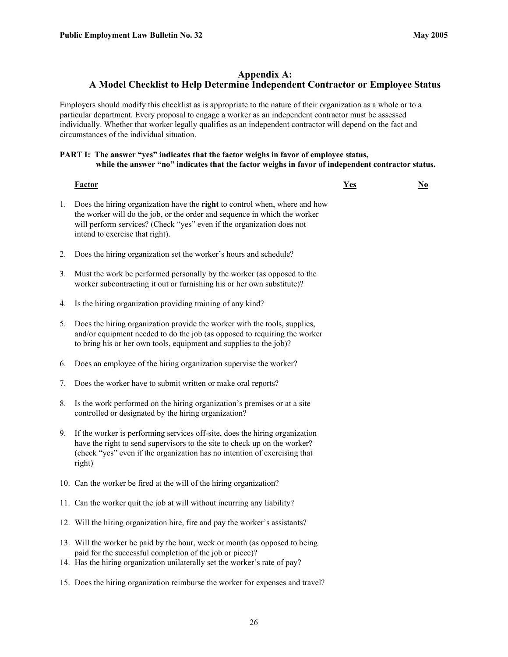#### **Appendix A: A Model Checklist to Help Determine Independent Contractor or Employee Status**

Employers should modify this checklist as is appropriate to the nature of their organization as a whole or to a particular department. Every proposal to engage a worker as an independent contractor must be assessed individually. Whether that worker legally qualifies as an independent contractor will depend on the fact and circumstances of the individual situation.

#### PART I: The answer "yes" indicates that the factor weighs in favor of employee status,  **while the answer "no" indicates that the factor weighs in favor of independent contractor status.**

**Factor Yes No**

- 1. Does the hiring organization have the **right** to control when, where and how the worker will do the job, or the order and sequence in which the worker will perform services? (Check "yes" even if the organization does not intend to exercise that right).
- 2. Does the hiring organization set the worker's hours and schedule?
- 3. Must the work be performed personally by the worker (as opposed to the worker subcontracting it out or furnishing his or her own substitute)?
- 4. Is the hiring organization providing training of any kind?
- 5. Does the hiring organization provide the worker with the tools, supplies, and/or equipment needed to do the job (as opposed to requiring the worker to bring his or her own tools, equipment and supplies to the job)?
- 6. Does an employee of the hiring organization supervise the worker?
- 7. Does the worker have to submit written or make oral reports?
- 8. Is the work performed on the hiring organization's premises or at a site controlled or designated by the hiring organization?
- 9. If the worker is performing services off-site, does the hiring organization have the right to send supervisors to the site to check up on the worker? (check "yes" even if the organization has no intention of exercising that right)
- 10. Can the worker be fired at the will of the hiring organization?
- 11. Can the worker quit the job at will without incurring any liability?
- 12. Will the hiring organization hire, fire and pay the worker's assistants?
- 13. Will the worker be paid by the hour, week or month (as opposed to being paid for the successful completion of the job or piece)?
- 14. Has the hiring organization unilaterally set the worker's rate of pay?
- 15. Does the hiring organization reimburse the worker for expenses and travel?